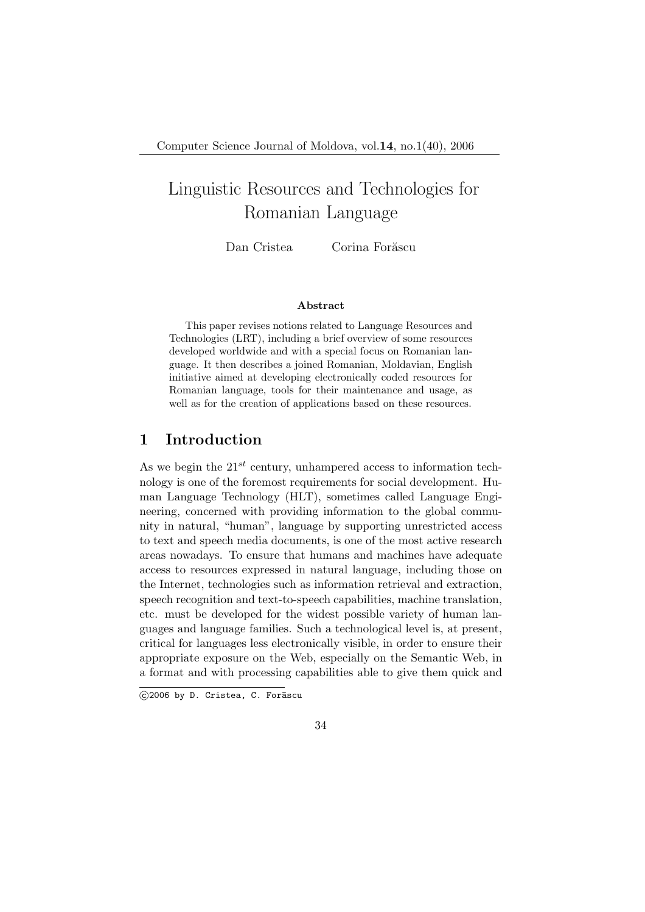# Linguistic Resources and Technologies for Romanian Language

Dan Cristea Corina Forăscu

#### Abstract

This paper revises notions related to Language Resources and Technologies (LRT), including a brief overview of some resources developed worldwide and with a special focus on Romanian language. It then describes a joined Romanian, Moldavian, English initiative aimed at developing electronically coded resources for Romanian language, tools for their maintenance and usage, as well as for the creation of applications based on these resources.

### 1 Introduction

As we begin the  $21^{st}$  century, unhampered access to information technology is one of the foremost requirements for social development. Human Language Technology (HLT), sometimes called Language Engineering, concerned with providing information to the global community in natural, "human", language by supporting unrestricted access to text and speech media documents, is one of the most active research areas nowadays. To ensure that humans and machines have adequate access to resources expressed in natural language, including those on the Internet, technologies such as information retrieval and extraction, speech recognition and text-to-speech capabilities, machine translation, etc. must be developed for the widest possible variety of human languages and language families. Such a technological level is, at present, critical for languages less electronically visible, in order to ensure their appropriate exposure on the Web, especially on the Semantic Web, in a format and with processing capabilities able to give them quick and

 $\bigcirc$ 2006 by D. Cristea, C. Forăscu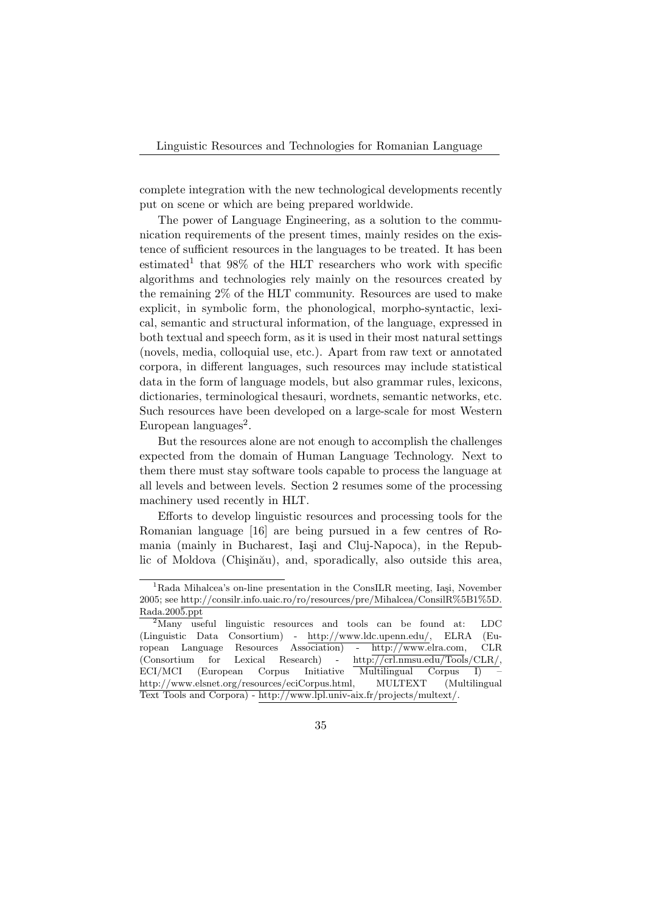complete integration with the new technological developments recently put on scene or which are being prepared worldwide.

The power of Language Engineering, as a solution to the communication requirements of the present times, mainly resides on the existence of sufficient resources in the languages to be treated. It has been estimated<sup>1</sup> that  $98\%$  of the HLT researchers who work with specific algorithms and technologies rely mainly on the resources created by the remaining 2% of the HLT community. Resources are used to make explicit, in symbolic form, the phonological, morpho-syntactic, lexical, semantic and structural information, of the language, expressed in both textual and speech form, as it is used in their most natural settings (novels, media, colloquial use, etc.). Apart from raw text or annotated corpora, in different languages, such resources may include statistical data in the form of language models, but also grammar rules, lexicons, dictionaries, terminological thesauri, wordnets, semantic networks, etc. Such resources have been developed on a large-scale for most Western European languages<sup>2</sup>.

But the resources alone are not enough to accomplish the challenges expected from the domain of Human Language Technology. Next to them there must stay software tools capable to process the language at all levels and between levels. Section 2 resumes some of the processing machinery used recently in HLT.

Efforts to develop linguistic resources and processing tools for the Romanian language [16] are being pursued in a few centres of Romania (mainly in Bucharest, Iași and Cluj-Napoca), in the Republic of Moldova (Chişinău), and, sporadically, also outside this area,

 ${}^{1}$ Rada Mihalcea's on-line presentation in the ConsILR meeting, Iași, November 2005; see http://consilr.info.uaic.ro/ro/resources/pre/Mihalcea/ConsilR%5B1%5D. Rada.2005.ppt

<sup>&</sup>lt;sup>2</sup>Many useful linguistic resources and tools can be found at: LDC (Linguistic Data Consortium) - http://www.ldc.upenn.edu/, ELRA (European Language Resources Association) - http://www.elra.com, CLR (Consortium for Lexical Research) - http://crl.nmsu.edu/Tools/CLR/, ECI/MCI (European Corpus Initiative Multilingual Corpus I) http://www.elsnet.org/resources/eciCorpus.html, MULTEXT (Multilingual Text Tools and Corpora) - http://www.lpl.univ-aix.fr/projects/multext/.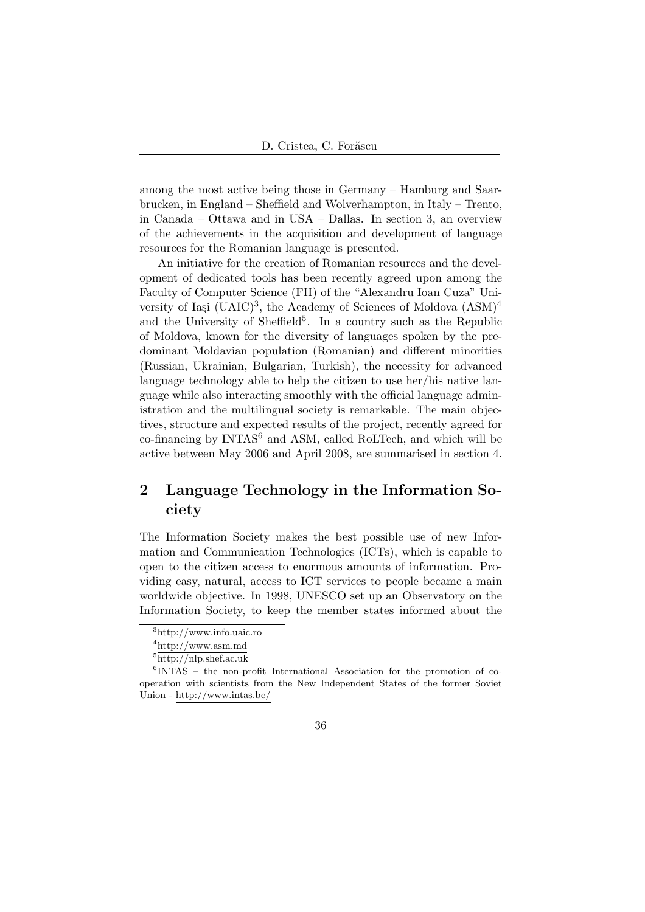among the most active being those in Germany – Hamburg and Saarbrucken, in England – Sheffield and Wolverhampton, in Italy – Trento, in Canada – Ottawa and in USA – Dallas. In section 3, an overview of the achievements in the acquisition and development of language resources for the Romanian language is presented.

An initiative for the creation of Romanian resources and the development of dedicated tools has been recently agreed upon among the Faculty of Computer Science (FII) of the "Alexandru Ioan Cuza" University of Iași (UAIC)<sup>3</sup>, the Academy of Sciences of Moldova  $(ASM)^4$ and the University of Sheffield<sup>5</sup>. In a country such as the Republic of Moldova, known for the diversity of languages spoken by the predominant Moldavian population (Romanian) and different minorities (Russian, Ukrainian, Bulgarian, Turkish), the necessity for advanced language technology able to help the citizen to use her/his native language while also interacting smoothly with the official language administration and the multilingual society is remarkable. The main objectives, structure and expected results of the project, recently agreed for  $co-financing by INTAS<sup>6</sup> and ASM, called RoLTech, and which will be$ active between May 2006 and April 2008, are summarised in section 4.

## 2 Language Technology in the Information Society

The Information Society makes the best possible use of new Information and Communication Technologies (ICTs), which is capable to open to the citizen access to enormous amounts of information. Providing easy, natural, access to ICT services to people became a main worldwide objective. In 1998, UNESCO set up an Observatory on the Information Society, to keep the member states informed about the

<sup>3</sup>http://www.info.uaic.ro

 $4$ http://www.asm.md

 $5$ http://nlp.shef.ac.uk

<sup>6</sup> INTAS – the non-profit International Association for the promotion of cooperation with scientists from the New Independent States of the former Soviet Union - http://www.intas.be/

<sup>36</sup>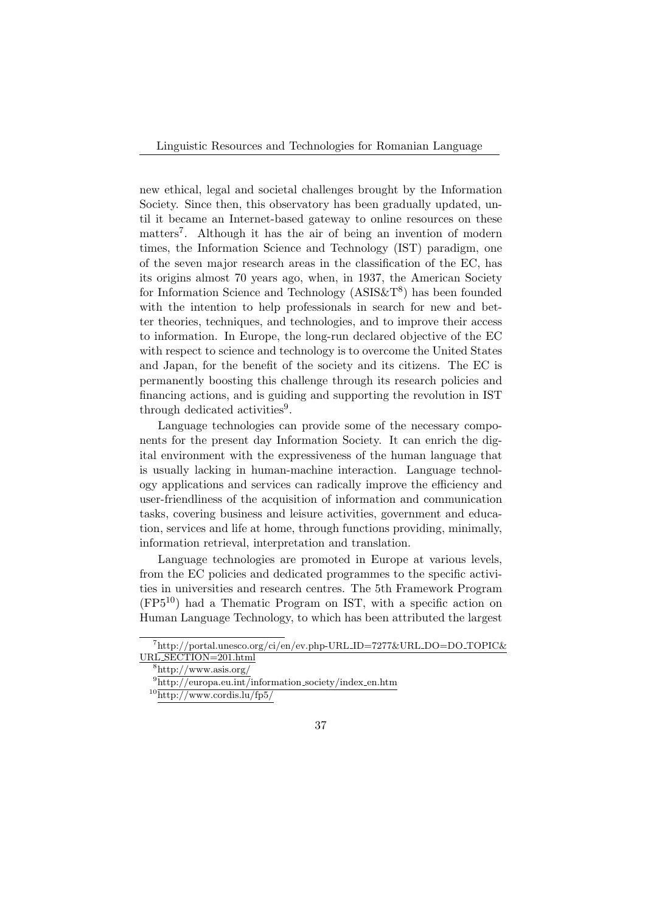Linguistic Resources and Technologies for Romanian Language

new ethical, legal and societal challenges brought by the Information Society. Since then, this observatory has been gradually updated, until it became an Internet-based gateway to online resources on these matters<sup>7</sup>. Although it has the air of being an invention of modern times, the Information Science and Technology (IST) paradigm, one of the seven major research areas in the classification of the EC, has its origins almost 70 years ago, when, in 1937, the American Society for Information Science and Technology  $(ASIS\&T^8)$  has been founded with the intention to help professionals in search for new and better theories, techniques, and technologies, and to improve their access to information. In Europe, the long-run declared objective of the EC with respect to science and technology is to overcome the United States and Japan, for the benefit of the society and its citizens. The EC is permanently boosting this challenge through its research policies and financing actions, and is guiding and supporting the revolution in IST through dedicated activities<sup>9</sup>.

Language technologies can provide some of the necessary components for the present day Information Society. It can enrich the digital environment with the expressiveness of the human language that is usually lacking in human-machine interaction. Language technology applications and services can radically improve the efficiency and user-friendliness of the acquisition of information and communication tasks, covering business and leisure activities, government and education, services and life at home, through functions providing, minimally, information retrieval, interpretation and translation.

Language technologies are promoted in Europe at various levels, from the EC policies and dedicated programmes to the specific activities in universities and research centres. The 5th Framework Program (FP510) had a Thematic Program on IST, with a specific action on Human Language Technology, to which has been attributed the largest

<sup>7</sup>http://portal.unesco.org/ci/en/ev.php-URL ID=7277&URL DO=DO TOPIC& URL SECTION=201.html

<sup>8</sup>http://www.asis.org/

 $9^9$ http://europa.eu.int/information\_society/index\_en.htm

 $10$ http://www.cordis.lu/fp5/

<sup>37</sup>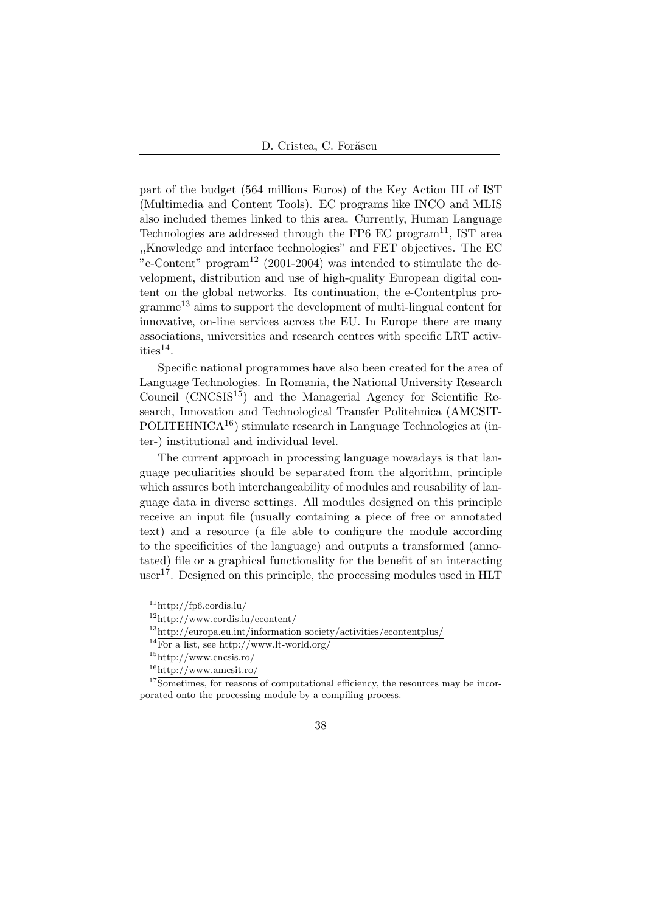part of the budget (564 millions Euros) of the Key Action III of IST (Multimedia and Content Tools). EC programs like INCO and MLIS also included themes linked to this area. Currently, Human Language Technologies are addressed through the FP6 EC program<sup>11</sup>, IST area ,,Knowledge and interface technologies" and FET objectives. The EC "e-Content" program<sup>12</sup> (2001-2004) was intended to stimulate the development, distribution and use of high-quality European digital content on the global networks. Its continuation, the e-Contentplus pro- $\rm{gramme}^{13}$  aims to support the development of multi-lingual content for innovative, on-line services across the EU. In Europe there are many associations, universities and research centres with specific LRT activities $^{14}$ .

Specific national programmes have also been created for the area of Language Technologies. In Romania, the National University Research Council  $(CNCSIS<sup>15</sup>)$  and the Managerial Agency for Scientific Research, Innovation and Technological Transfer Politehnica (AMCSIT-POLITEHNICA<sup>16</sup>) stimulate research in Language Technologies at (inter-) institutional and individual level.

The current approach in processing language nowadays is that language peculiarities should be separated from the algorithm, principle which assures both interchangeability of modules and reusability of language data in diverse settings. All modules designed on this principle receive an input file (usually containing a piece of free or annotated text) and a resource (a file able to configure the module according to the specificities of the language) and outputs a transformed (annotated) file or a graphical functionality for the benefit of an interacting user<sup>17</sup>. Designed on this principle, the processing modules used in  $HLT$ 

 $11$ http://fp6.cordis.lu/

 $12$ http://www.cordis.lu/econtent/

 $13$ http://europa.eu.int/information\_society/activities/econtentplus/

 $14\overline{\text{For a list, see http://www.lt-world.org/}}$ 

 $15$ http://www.cncsis.ro/

 $16$ http://www.amcsit.ro/

 $17\overline{\text{Sometimes}}$ , for reasons of computational efficiency, the resources may be incorporated onto the processing module by a compiling process.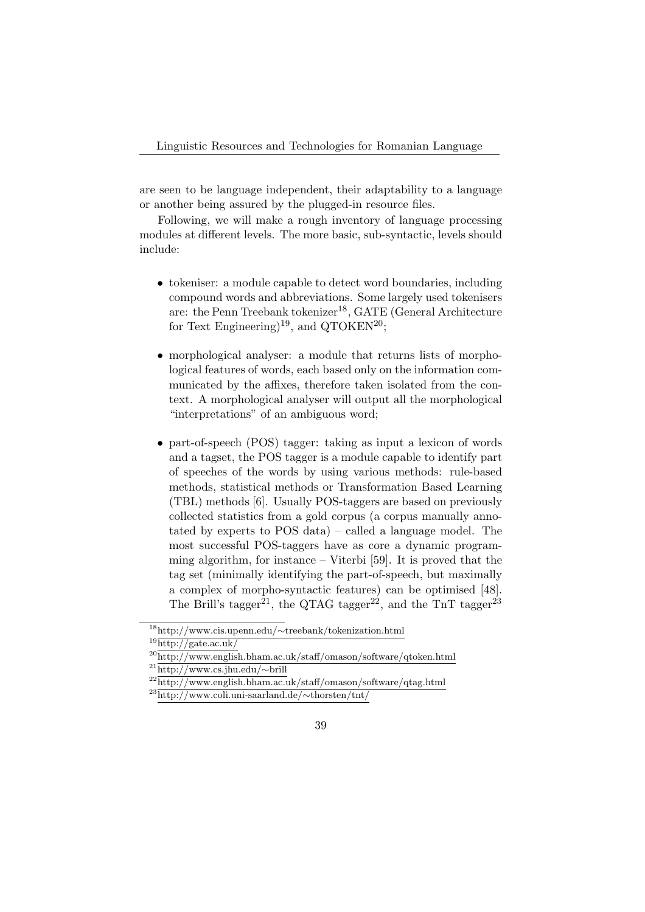are seen to be language independent, their adaptability to a language or another being assured by the plugged-in resource files.

Following, we will make a rough inventory of language processing modules at different levels. The more basic, sub-syntactic, levels should include:

- tokeniser: a module capable to detect word boundaries, including compound words and abbreviations. Some largely used tokenisers are: the Penn Treebank tokenizer<sup>18</sup>, GATE (General Architecture for Text Engineering)<sup>19</sup>, and QTOKEN<sup>20</sup>;
- morphological analyser: a module that returns lists of morphological features of words, each based only on the information communicated by the affixes, therefore taken isolated from the context. A morphological analyser will output all the morphological "interpretations" of an ambiguous word;
- part-of-speech (POS) tagger: taking as input a lexicon of words and a tagset, the POS tagger is a module capable to identify part of speeches of the words by using various methods: rule-based methods, statistical methods or Transformation Based Learning (TBL) methods [6]. Usually POS-taggers are based on previously collected statistics from a gold corpus (a corpus manually annotated by experts to POS data) – called a language model. The most successful POS-taggers have as core a dynamic programming algorithm, for instance – Viterbi [59]. It is proved that the tag set (minimally identifying the part-of-speech, but maximally a complex of morpho-syntactic features) can be optimised [48]. The Brill's tagger<sup>21</sup>, the QTAG tagger<sup>22</sup>, and the TnT tagger<sup>23</sup>

<sup>18</sup>http://www.cis.upenn.edu/∼treebank/tokenization.html

 $\frac{19\mathrm{http://gate.ac.uk/}}{}$ 

<sup>20</sup>http://www.english.bham.ac.uk/staff/omason/software/qtoken.html

<sup>21</sup>http://www.cs.jhu.edu/∼brill

 $^{22}$ http://www.english.bham.ac.uk/staff/omason/software/qtag.html

<sup>23</sup>http://www.coli.uni-saarland.de/∼thorsten/tnt/

<sup>39</sup>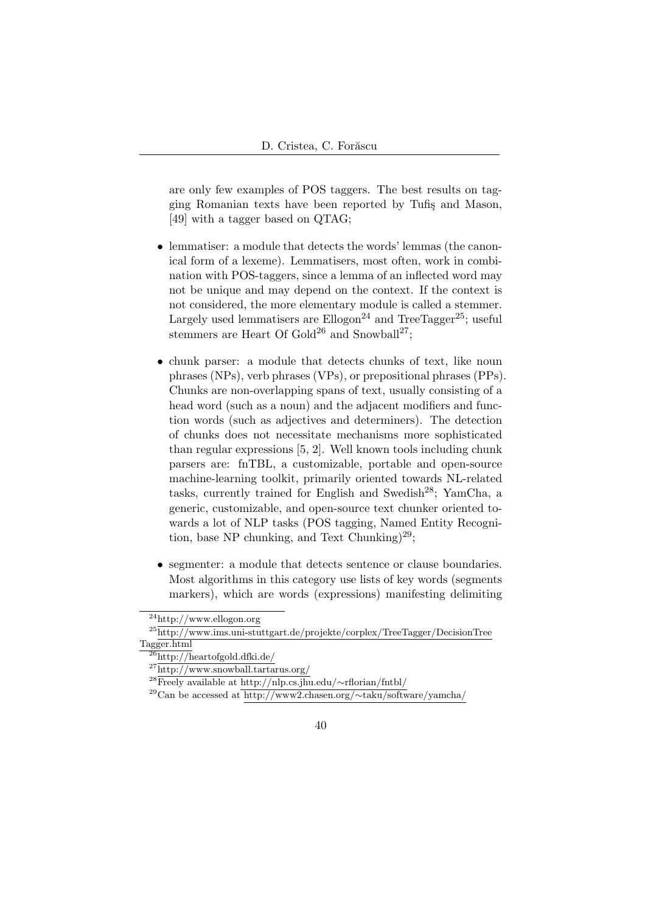are only few examples of POS taggers. The best results on tagging Romanian texts have been reported by Tufis and Mason, [49] with a tagger based on QTAG;

- lemmatiser: a module that detects the words' lemmas (the canonical form of a lexeme). Lemmatisers, most often, work in combination with POS-taggers, since a lemma of an inflected word may not be unique and may depend on the context. If the context is not considered, the more elementary module is called a stemmer. Largely used lemmatisers are  $Ellogon<sup>24</sup>$  and TreeTagger<sup>25</sup>; useful stemmers are Heart Of Gold<sup>26</sup> and Snowball<sup>27</sup>;
- chunk parser: a module that detects chunks of text, like noun phrases (NPs), verb phrases (VPs), or prepositional phrases (PPs). Chunks are non-overlapping spans of text, usually consisting of a head word (such as a noun) and the adjacent modifiers and function words (such as adjectives and determiners). The detection of chunks does not necessitate mechanisms more sophisticated than regular expressions [5, 2]. Well known tools including chunk parsers are: fnTBL, a customizable, portable and open-source machine-learning toolkit, primarily oriented towards NL-related tasks, currently trained for English and Swedish<sup>28</sup>; YamCha, a generic, customizable, and open-source text chunker oriented towards a lot of NLP tasks (POS tagging, Named Entity Recognition, base NP chunking, and Text Chunking)<sup>29</sup>;
- segmenter: a module that detects sentence or clause boundaries. Most algorithms in this category use lists of key words (segments markers), which are words (expressions) manifesting delimiting

 $\mathrm{^{24}http://www.ellogon.org}$ 

<sup>25</sup>http://www.ims.uni-stuttgart.de/projekte/corplex/TreeTagger/DecisionTree Tagger.html

 $\frac{26}{26}$ http://heartofgold.dfki.de/

<sup>27</sup>http://www.snowball.tartarus.org/

<sup>28</sup>Freely available at http://nlp.cs.jhu.edu/∼rflorian/fntbl/

<sup>29</sup>Can be accessed at http://www2.chasen.org/∼taku/software/yamcha/

<sup>40</sup>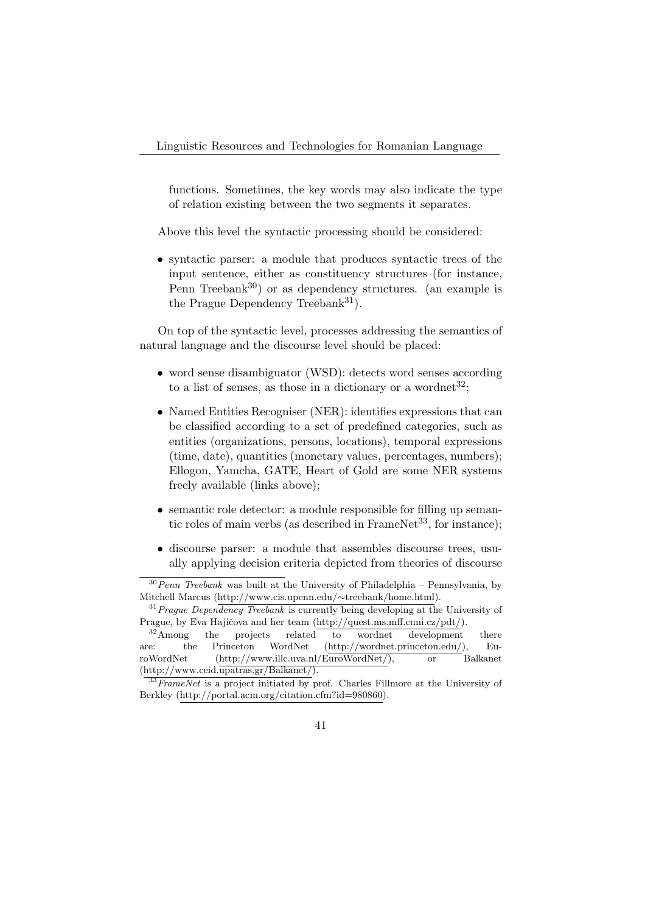functions. Sometimes, the key words may also indicate the type of relation existing between the two segments it separates.

Above this level the syntactic processing should be considered:

• syntactic parser: a module that produces syntactic trees of the input sentence, either as constituency structures (for instance, Penn Treebank<sup>30</sup>) or as dependency structures. (an example is the Prague Dependency Treebank<sup>31</sup>).

On top of the syntactic level, processes addressing the semantics of natural language and the discourse level should be placed:

- word sense disambiguator (WSD): detects word senses according to a list of senses, as those in a dictionary or a wordnet<sup>32</sup>;
- Named Entities Recogniser (NER): identifies expressions that can be classified according to a set of predefined categories, such as entities (organizations, persons, locations), temporal expressions (time, date), quantities (monetary values, percentages, numbers); Ellogon, Yamcha, GATE, Heart of Gold are some NER systems freely available (links above);
- semantic role detector: a module responsible for filling up semantic roles of main verbs (as described in FrameNet<sup>33</sup>, for instance);
- discourse parser: a module that assembles discourse trees, usually applying decision criteria depicted from theories of discourse

 $30$  Penn Treebank was built at the University of Philadelphia – Pennsylvania, by Mitchell Marcus (http://www.cis.upenn.edu/∼treebank/home.html).

 $31$  Prague Dependency Treebank is currently being developing at the University of Prague, by Eva Hajičova and her team (http://quest.ms.mff.cuni.cz/pdt/).

<sup>&</sup>lt;sup>32</sup>Among the projects related to wordnet development there are: the Princeton WordNet (http://wordnet.princeton.edu/), EuroWordNet (http://www.illc.uva.nl/EuroWordNet/), or Balkanet  $(\text{http://www.ceid.upatras.gr/Balkanet/}).$ 

 $\frac{33}{33}$ FrameNet is a project initiated by prof. Charles Fillmore at the University of Berkley (http://portal.acm.org/citation.cfm?id=980860).

<sup>41</sup>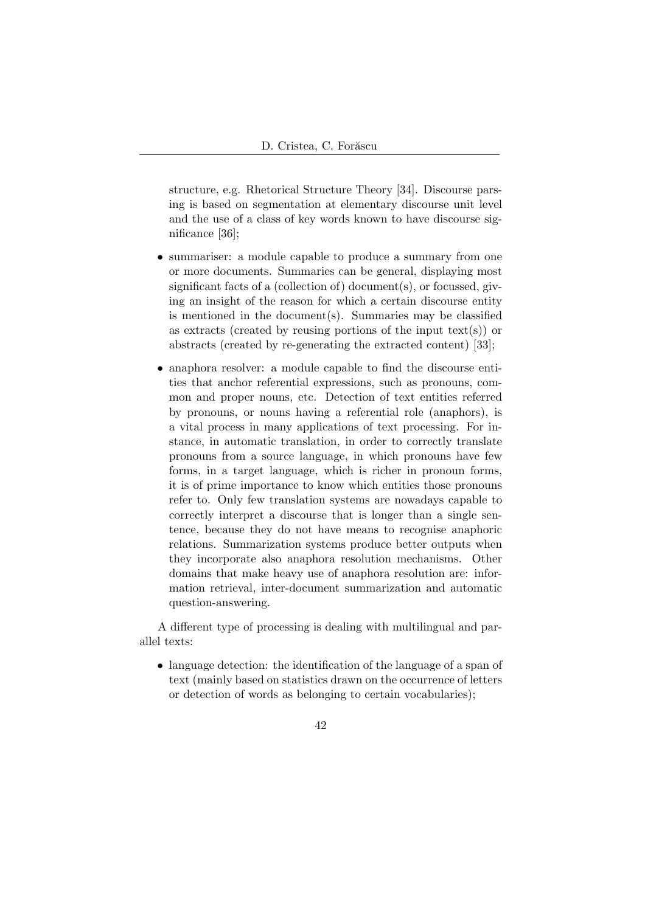structure, e.g. Rhetorical Structure Theory [34]. Discourse parsing is based on segmentation at elementary discourse unit level and the use of a class of key words known to have discourse significance [36];

- summariser: a module capable to produce a summary from one or more documents. Summaries can be general, displaying most significant facts of a (collection of) document(s), or focussed, giving an insight of the reason for which a certain discourse entity is mentioned in the document(s). Summaries may be classified as extracts (created by reusing portions of the input text(s)) or abstracts (created by re-generating the extracted content) [33];
- anaphora resolver: a module capable to find the discourse entities that anchor referential expressions, such as pronouns, common and proper nouns, etc. Detection of text entities referred by pronouns, or nouns having a referential role (anaphors), is a vital process in many applications of text processing. For instance, in automatic translation, in order to correctly translate pronouns from a source language, in which pronouns have few forms, in a target language, which is richer in pronoun forms, it is of prime importance to know which entities those pronouns refer to. Only few translation systems are nowadays capable to correctly interpret a discourse that is longer than a single sentence, because they do not have means to recognise anaphoric relations. Summarization systems produce better outputs when they incorporate also anaphora resolution mechanisms. Other domains that make heavy use of anaphora resolution are: information retrieval, inter-document summarization and automatic question-answering.

A different type of processing is dealing with multilingual and parallel texts:

- language detection: the identification of the language of a span of text (mainly based on statistics drawn on the occurrence of letters or detection of words as belonging to certain vocabularies);
	- 42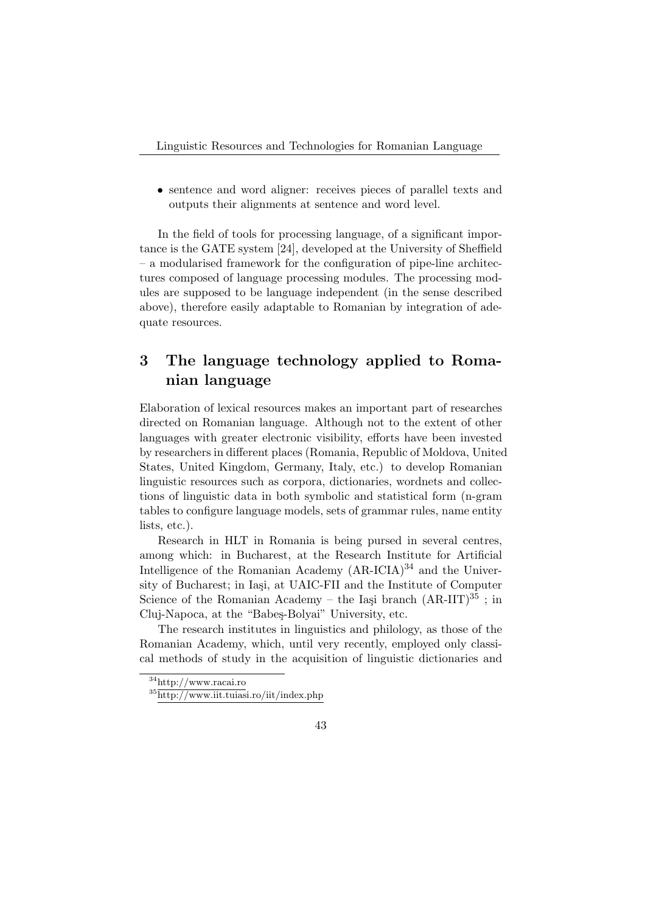• sentence and word aligner: receives pieces of parallel texts and outputs their alignments at sentence and word level.

In the field of tools for processing language, of a significant importance is the GATE system [24], developed at the University of Sheffield – a modularised framework for the configuration of pipe-line architectures composed of language processing modules. The processing modules are supposed to be language independent (in the sense described above), therefore easily adaptable to Romanian by integration of adequate resources.

## 3 The language technology applied to Romanian language

Elaboration of lexical resources makes an important part of researches directed on Romanian language. Although not to the extent of other languages with greater electronic visibility, efforts have been invested by researchers in different places (Romania, Republic of Moldova, United States, United Kingdom, Germany, Italy, etc.) to develop Romanian linguistic resources such as corpora, dictionaries, wordnets and collections of linguistic data in both symbolic and statistical form (n-gram tables to configure language models, sets of grammar rules, name entity lists, etc.).

Research in HLT in Romania is being pursed in several centres, among which: in Bucharest, at the Research Institute for Artificial Intelligence of the Romanian Academy  $(AR-ICIA)^{34}$  and the University of Bucharest; in Iași, at UAIC-FII and the Institute of Computer Science of the Romanian Academy – the Iași branch  $(AR-IIT)^{35}$ ; in Cluj-Napoca, at the "Babeş-Bolyai" University, etc.

The research institutes in linguistics and philology, as those of the Romanian Academy, which, until very recently, employed only classical methods of study in the acquisition of linguistic dictionaries and

<sup>34</sup>http://www.racai.ro

<sup>35</sup>http://www.iit.tuiasi.ro/iit/index.php

<sup>43</sup>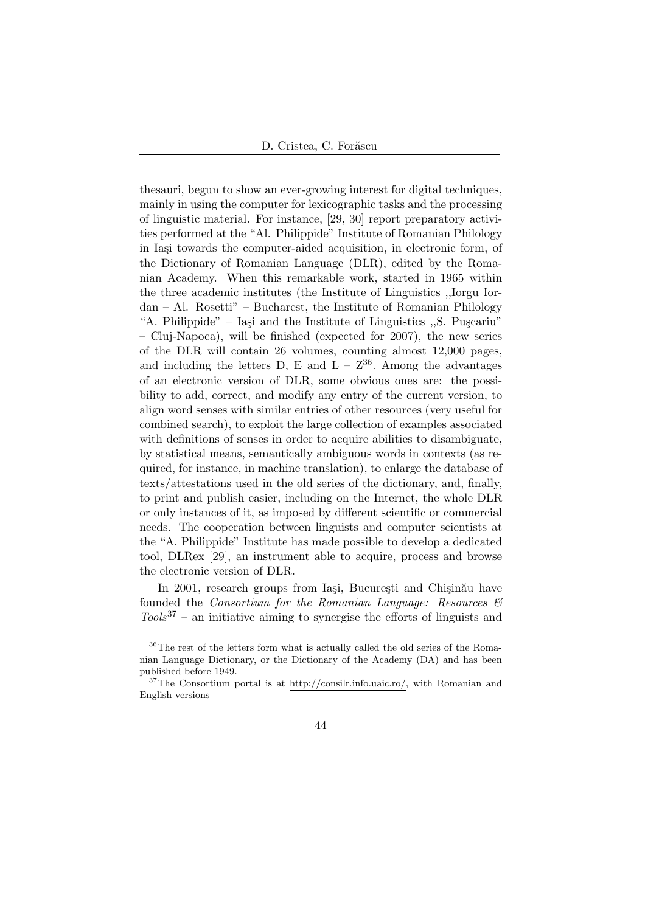thesauri, begun to show an ever-growing interest for digital techniques, mainly in using the computer for lexicographic tasks and the processing of linguistic material. For instance, [29, 30] report preparatory activities performed at the "Al. Philippide" Institute of Romanian Philology in Iași towards the computer-aided acquisition, in electronic form, of the Dictionary of Romanian Language (DLR), edited by the Romanian Academy. When this remarkable work, started in 1965 within the three academic institutes (the Institute of Linguistics ,,Iorgu Iordan – Al. Rosetti" – Bucharest, the Institute of Romanian Philology "A. Philippide" – Iași and the Institute of Linguistics  $\mathcal{S}$ . Pu $\mathcal{S}$ cariu" – Cluj-Napoca), will be finished (expected for 2007), the new series of the DLR will contain 26 volumes, counting almost 12,000 pages, and including the letters D, E and  $L - Z^{36}$ . Among the advantages of an electronic version of DLR, some obvious ones are: the possibility to add, correct, and modify any entry of the current version, to align word senses with similar entries of other resources (very useful for combined search), to exploit the large collection of examples associated with definitions of senses in order to acquire abilities to disambiguate, by statistical means, semantically ambiguous words in contexts (as required, for instance, in machine translation), to enlarge the database of texts/attestations used in the old series of the dictionary, and, finally, to print and publish easier, including on the Internet, the whole DLR or only instances of it, as imposed by different scientific or commercial needs. The cooperation between linguists and computer scientists at the "A. Philippide" Institute has made possible to develop a dedicated tool, DLRex [29], an instrument able to acquire, process and browse the electronic version of DLR.

In 2001, research groups from Iași, București and Chișinău have founded the *Consortium for the Romanian Language: Resources*  $\mathcal{B}$  $Tools^{37}$  – an initiative aiming to synergise the efforts of linguists and

<sup>36</sup>The rest of the letters form what is actually called the old series of the Romanian Language Dictionary, or the Dictionary of the Academy (DA) and has been published before 1949.

 $37$ The Consortium portal is at http://consilr.info.uaic.ro/, with Romanian and English versions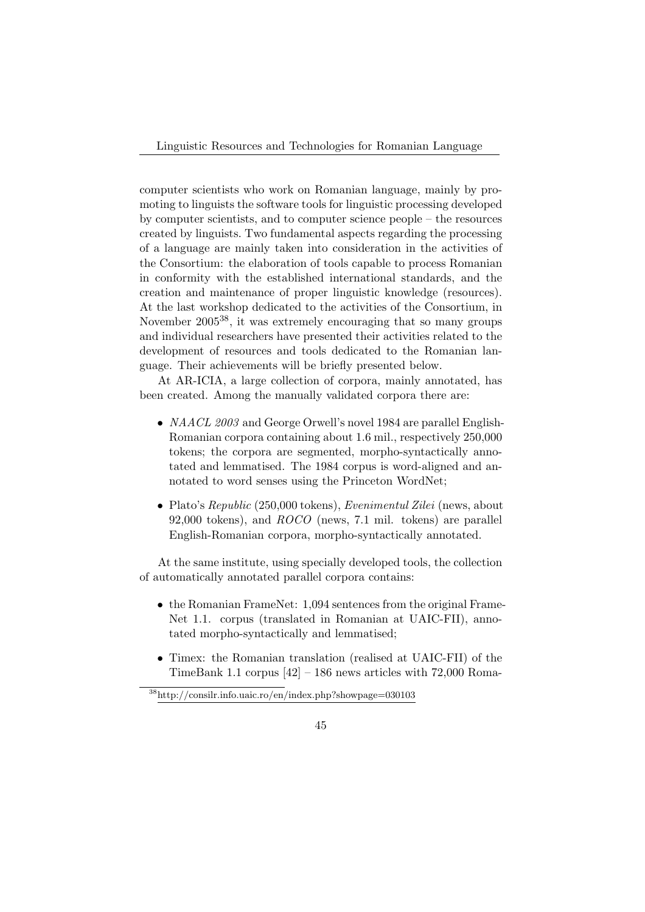Linguistic Resources and Technologies for Romanian Language

computer scientists who work on Romanian language, mainly by promoting to linguists the software tools for linguistic processing developed by computer scientists, and to computer science people – the resources created by linguists. Two fundamental aspects regarding the processing of a language are mainly taken into consideration in the activities of the Consortium: the elaboration of tools capable to process Romanian in conformity with the established international standards, and the creation and maintenance of proper linguistic knowledge (resources). At the last workshop dedicated to the activities of the Consortium, in November 2005<sup>38</sup>, it was extremely encouraging that so many groups and individual researchers have presented their activities related to the development of resources and tools dedicated to the Romanian language. Their achievements will be briefly presented below.

At AR-ICIA, a large collection of corpora, mainly annotated, has been created. Among the manually validated corpora there are:

- *NAACL 2003* and George Orwell's novel 1984 are parallel English-Romanian corpora containing about 1.6 mil., respectively 250,000 tokens; the corpora are segmented, morpho-syntactically annotated and lemmatised. The 1984 corpus is word-aligned and annotated to word senses using the Princeton WordNet;
- Plato's Republic (250,000 tokens), Evenimentul Zilei (news, about 92,000 tokens), and ROCO (news, 7.1 mil. tokens) are parallel English-Romanian corpora, morpho-syntactically annotated.

At the same institute, using specially developed tools, the collection of automatically annotated parallel corpora contains:

- the Romanian FrameNet: 1,094 sentences from the original Frame-Net 1.1. corpus (translated in Romanian at UAIC-FII), annotated morpho-syntactically and lemmatised;
- Timex: the Romanian translation (realised at UAIC-FII) of the TimeBank 1.1 corpus  $[42] - 186$  news articles with 72,000 Roma-

<sup>38</sup>http://consilr.info.uaic.ro/en/index.php?showpage=030103

<sup>45</sup>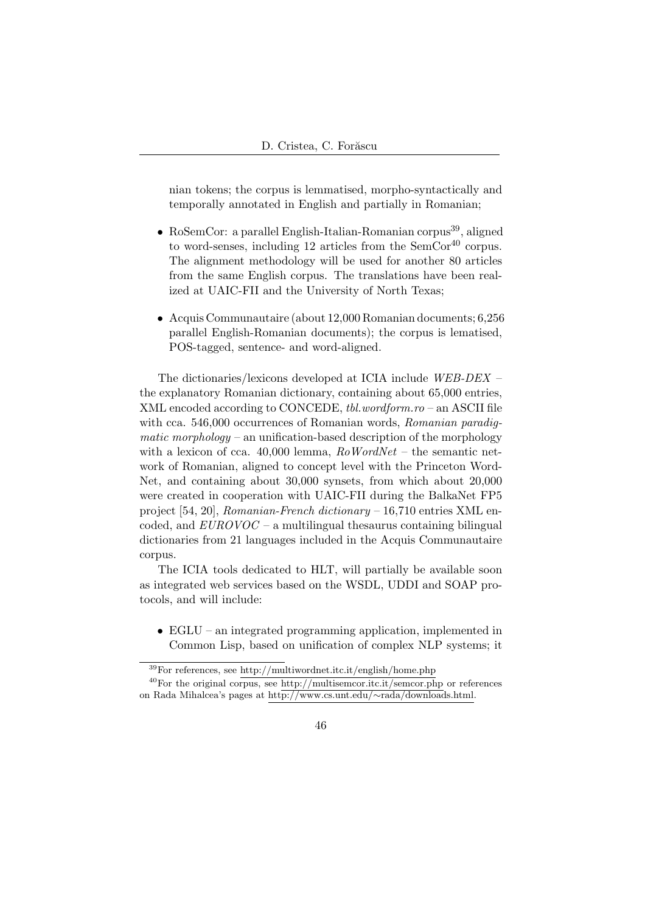nian tokens; the corpus is lemmatised, morpho-syntactically and temporally annotated in English and partially in Romanian;

- RoSemCor: a parallel English-Italian-Romanian corpus<sup>39</sup>, aligned to word-senses, including 12 articles from the SemCor<sup>40</sup> corpus. The alignment methodology will be used for another 80 articles from the same English corpus. The translations have been realized at UAIC-FII and the University of North Texas;
- Acquis Communautaire (about 12,000 Romanian documents; 6,256 parallel English-Romanian documents); the corpus is lematised, POS-tagged, sentence- and word-aligned.

The dictionaries/lexicons developed at ICIA include WEB-DEX – the explanatory Romanian dictionary, containing about 65,000 entries, XML encoded according to CONCEDE, tbl.wordform.ro – an ASCII file with cca. 546,000 occurrences of Romanian words, Romanian paradigmatic morphology – an unification-based description of the morphology with a lexicon of cca.  $40,000$  lemma,  $RoWordNet -$  the semantic network of Romanian, aligned to concept level with the Princeton Word-Net, and containing about 30,000 synsets, from which about 20,000 were created in cooperation with UAIC-FII during the BalkaNet FP5 project [54, 20], Romanian-French dictionary  $-16,710$  entries XML encoded, and  $EUROVOC$  – a multilingual thesaurus containing bilingual dictionaries from 21 languages included in the Acquis Communautaire corpus.

The ICIA tools dedicated to HLT, will partially be available soon as integrated web services based on the WSDL, UDDI and SOAP protocols, and will include:

• EGLU – an integrated programming application, implemented in Common Lisp, based on unification of complex NLP systems; it

<sup>39</sup>For references, see http://multiwordnet.itc.it/english/home.php

 $^{40}$ For the original corpus, see http://multisemcor.itc.it/semcor.php or references on Rada Mihalcea's pages at http://www.cs.unt.edu/∼rada/downloads.html.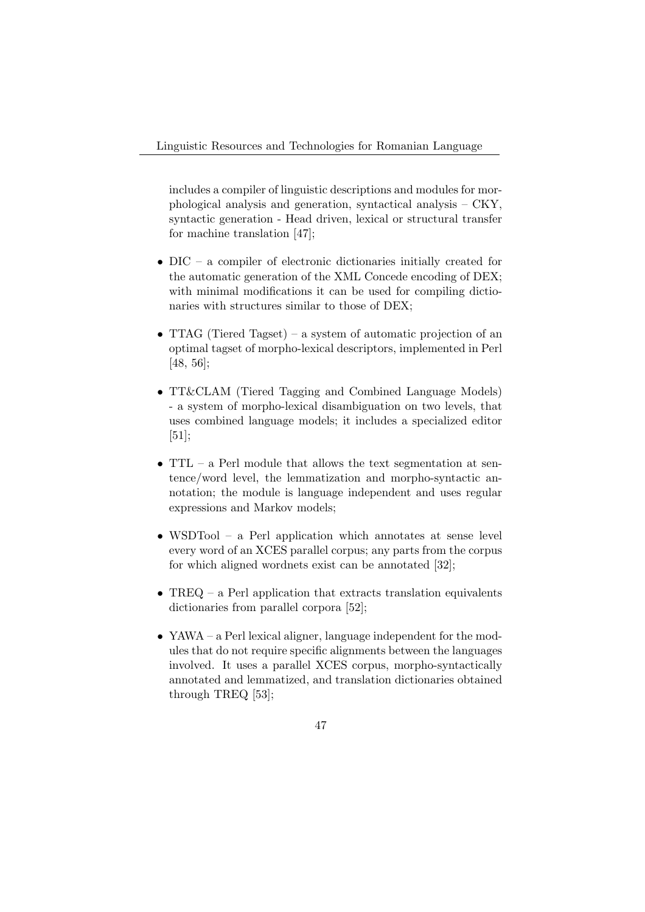includes a compiler of linguistic descriptions and modules for morphological analysis and generation, syntactical analysis – CKY, syntactic generation - Head driven, lexical or structural transfer for machine translation [47];

- DIC a compiler of electronic dictionaries initially created for the automatic generation of the XML Concede encoding of DEX; with minimal modifications it can be used for compiling dictionaries with structures similar to those of DEX;
- TTAG (Tiered Tagset) a system of automatic projection of an optimal tagset of morpho-lexical descriptors, implemented in Perl [48, 56];
- TT&CLAM (Tiered Tagging and Combined Language Models) - a system of morpho-lexical disambiguation on two levels, that uses combined language models; it includes a specialized editor [51];
- TTL a Perl module that allows the text segmentation at sentence/word level, the lemmatization and morpho-syntactic annotation; the module is language independent and uses regular expressions and Markov models;
- WSDTool a Perl application which annotates at sense level every word of an XCES parallel corpus; any parts from the corpus for which aligned wordnets exist can be annotated [32];
- TREQ a Perl application that extracts translation equivalents dictionaries from parallel corpora [52];
- YAWA a Perl lexical aligner, language independent for the modules that do not require specific alignments between the languages involved. It uses a parallel XCES corpus, morpho-syntactically annotated and lemmatized, and translation dictionaries obtained through TREQ [53];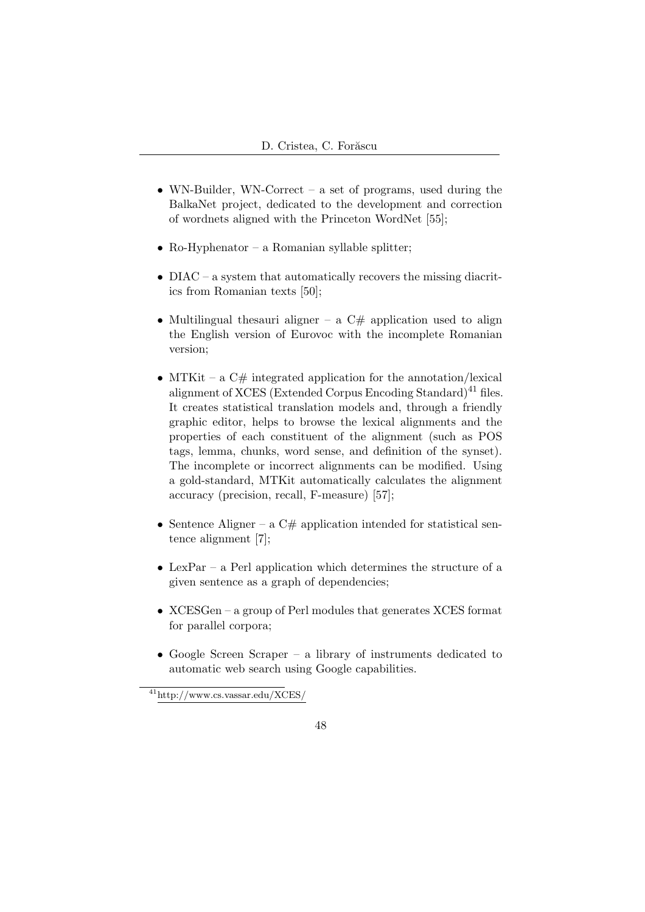- WN-Builder, WN-Correct a set of programs, used during the BalkaNet project, dedicated to the development and correction of wordnets aligned with the Princeton WordNet [55];
- Ro-Hyphenator a Romanian syllable splitter;
- DIAC a system that automatically recovers the missing diacritics from Romanian texts [50];
- Multilingual thesauri aligner a  $C#$  application used to align the English version of Eurovoc with the incomplete Romanian version;
- MTKit a  $C#$  integrated application for the annotation/lexical alignment of XCES (Extended Corpus Encoding Standard)<sup>41</sup> files. It creates statistical translation models and, through a friendly graphic editor, helps to browse the lexical alignments and the properties of each constituent of the alignment (such as POS tags, lemma, chunks, word sense, and definition of the synset). The incomplete or incorrect alignments can be modified. Using a gold-standard, MTKit automatically calculates the alignment accuracy (precision, recall, F-measure) [57];
- Sentence Aligner a  $C#$  application intended for statistical sentence alignment [7];
- LexPar a Perl application which determines the structure of a given sentence as a graph of dependencies;
- XCESGen a group of Perl modules that generates XCES format for parallel corpora;
- Google Screen Scraper a library of instruments dedicated to automatic web search using Google capabilities.

<sup>41</sup>http://www.cs.vassar.edu/XCES/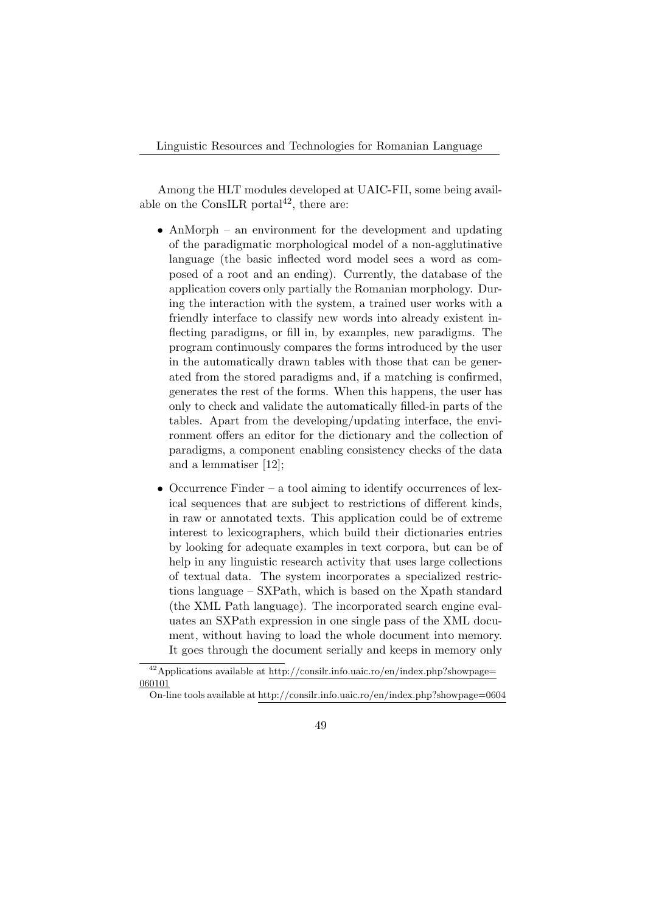Among the HLT modules developed at UAIC-FII, some being available on the ConsILR portal<sup>42</sup>, there are:

- AnMorph an environment for the development and updating of the paradigmatic morphological model of a non-agglutinative language (the basic inflected word model sees a word as composed of a root and an ending). Currently, the database of the application covers only partially the Romanian morphology. During the interaction with the system, a trained user works with a friendly interface to classify new words into already existent inflecting paradigms, or fill in, by examples, new paradigms. The program continuously compares the forms introduced by the user in the automatically drawn tables with those that can be generated from the stored paradigms and, if a matching is confirmed, generates the rest of the forms. When this happens, the user has only to check and validate the automatically filled-in parts of the tables. Apart from the developing/updating interface, the environment offers an editor for the dictionary and the collection of paradigms, a component enabling consistency checks of the data and a lemmatiser [12];
- Occurrence Finder a tool aiming to identify occurrences of lexical sequences that are subject to restrictions of different kinds, in raw or annotated texts. This application could be of extreme interest to lexicographers, which build their dictionaries entries by looking for adequate examples in text corpora, but can be of help in any linguistic research activity that uses large collections of textual data. The system incorporates a specialized restrictions language – SXPath, which is based on the Xpath standard (the XML Path language). The incorporated search engine evaluates an SXPath expression in one single pass of the XML document, without having to load the whole document into memory. It goes through the document serially and keeps in memory only

On-line tools available at http://consilr.info.uaic.ro/en/index.php?showpage=0604



 $^{42}\mbox{Applications available at http://consilr.info.uaic-ro/en/index.php?showpage=}$ 060101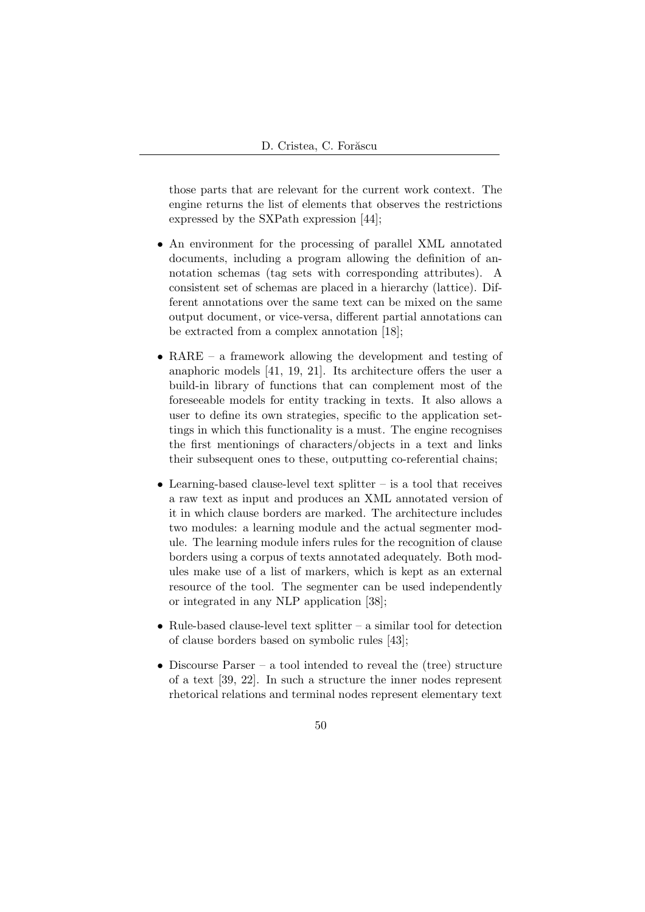those parts that are relevant for the current work context. The engine returns the list of elements that observes the restrictions expressed by the SXPath expression [44];

- An environment for the processing of parallel XML annotated documents, including a program allowing the definition of annotation schemas (tag sets with corresponding attributes). A consistent set of schemas are placed in a hierarchy (lattice). Different annotations over the same text can be mixed on the same output document, or vice-versa, different partial annotations can be extracted from a complex annotation [18];
- RARE a framework allowing the development and testing of anaphoric models [41, 19, 21]. Its architecture offers the user a build-in library of functions that can complement most of the foreseeable models for entity tracking in texts. It also allows a user to define its own strategies, specific to the application settings in which this functionality is a must. The engine recognises the first mentionings of characters/objects in a text and links their subsequent ones to these, outputting co-referential chains;
- $\bullet$  Learning-based clause-level text splitter is a tool that receives a raw text as input and produces an XML annotated version of it in which clause borders are marked. The architecture includes two modules: a learning module and the actual segmenter module. The learning module infers rules for the recognition of clause borders using a corpus of texts annotated adequately. Both modules make use of a list of markers, which is kept as an external resource of the tool. The segmenter can be used independently or integrated in any NLP application [38];
- Rule-based clause-level text splitter  $-$  a similar tool for detection of clause borders based on symbolic rules [43];
- Discourse Parser a tool intended to reveal the (tree) structure of a text [39, 22]. In such a structure the inner nodes represent rhetorical relations and terminal nodes represent elementary text
	- 50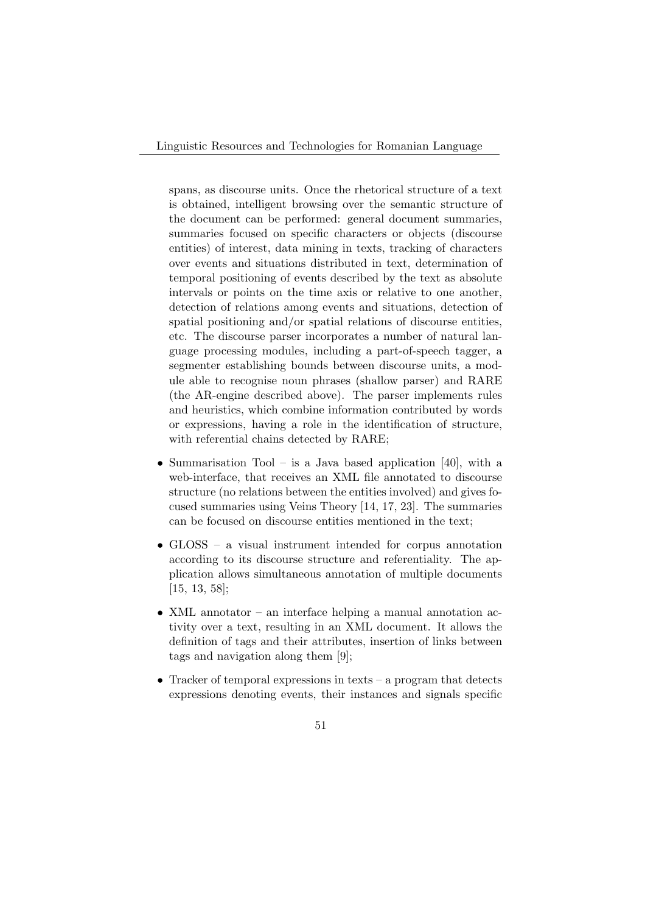spans, as discourse units. Once the rhetorical structure of a text is obtained, intelligent browsing over the semantic structure of the document can be performed: general document summaries, summaries focused on specific characters or objects (discourse entities) of interest, data mining in texts, tracking of characters over events and situations distributed in text, determination of temporal positioning of events described by the text as absolute intervals or points on the time axis or relative to one another, detection of relations among events and situations, detection of spatial positioning and/or spatial relations of discourse entities, etc. The discourse parser incorporates a number of natural language processing modules, including a part-of-speech tagger, a segmenter establishing bounds between discourse units, a module able to recognise noun phrases (shallow parser) and RARE (the AR-engine described above). The parser implements rules and heuristics, which combine information contributed by words or expressions, having a role in the identification of structure, with referential chains detected by RARE;

- Summarisation Tool is a Java based application [40], with a web-interface, that receives an XML file annotated to discourse structure (no relations between the entities involved) and gives focused summaries using Veins Theory [14, 17, 23]. The summaries can be focused on discourse entities mentioned in the text;
- GLOSS a visual instrument intended for corpus annotation according to its discourse structure and referentiality. The application allows simultaneous annotation of multiple documents [15, 13, 58];
- XML annotator an interface helping a manual annotation activity over a text, resulting in an XML document. It allows the definition of tags and their attributes, insertion of links between tags and navigation along them [9];
- Tracker of temporal expressions in texts a program that detects expressions denoting events, their instances and signals specific
	- 51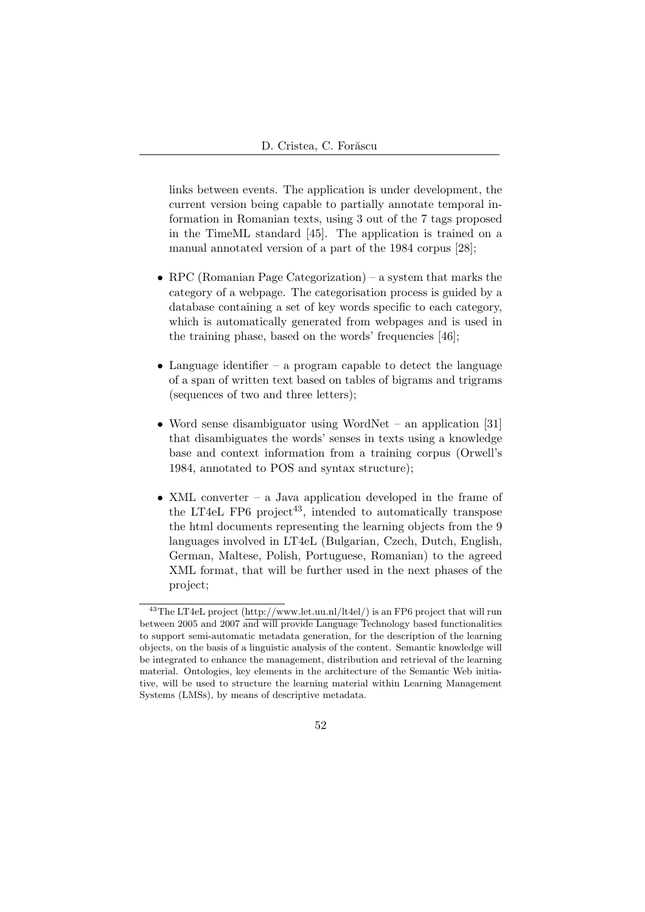links between events. The application is under development, the current version being capable to partially annotate temporal information in Romanian texts, using 3 out of the 7 tags proposed in the TimeML standard [45]. The application is trained on a manual annotated version of a part of the 1984 corpus [28];

- RPC (Romanian Page Categorization) a system that marks the category of a webpage. The categorisation process is guided by a database containing a set of key words specific to each category, which is automatically generated from webpages and is used in the training phase, based on the words' frequencies [46];
- Language identifier a program capable to detect the language of a span of written text based on tables of bigrams and trigrams (sequences of two and three letters);
- Word sense disambiguator using WordNet an application [31] that disambiguates the words' senses in texts using a knowledge base and context information from a training corpus (Orwell's 1984, annotated to POS and syntax structure);
- XML converter a Java application developed in the frame of the LT4eL FP6 project<sup>43</sup>, intended to automatically transpose the html documents representing the learning objects from the 9 languages involved in LT4eL (Bulgarian, Czech, Dutch, English, German, Maltese, Polish, Portuguese, Romanian) to the agreed XML format, that will be further used in the next phases of the project;

<sup>&</sup>lt;sup>43</sup>The LT4eL project (http://www.let.uu.nl/lt4el/) is an FP6 project that will run between 2005 and 2007 and will provide Language Technology based functionalities to support semi-automatic metadata generation, for the description of the learning objects, on the basis of a linguistic analysis of the content. Semantic knowledge will be integrated to enhance the management, distribution and retrieval of the learning material. Ontologies, key elements in the architecture of the Semantic Web initiative, will be used to structure the learning material within Learning Management Systems (LMSs), by means of descriptive metadata.

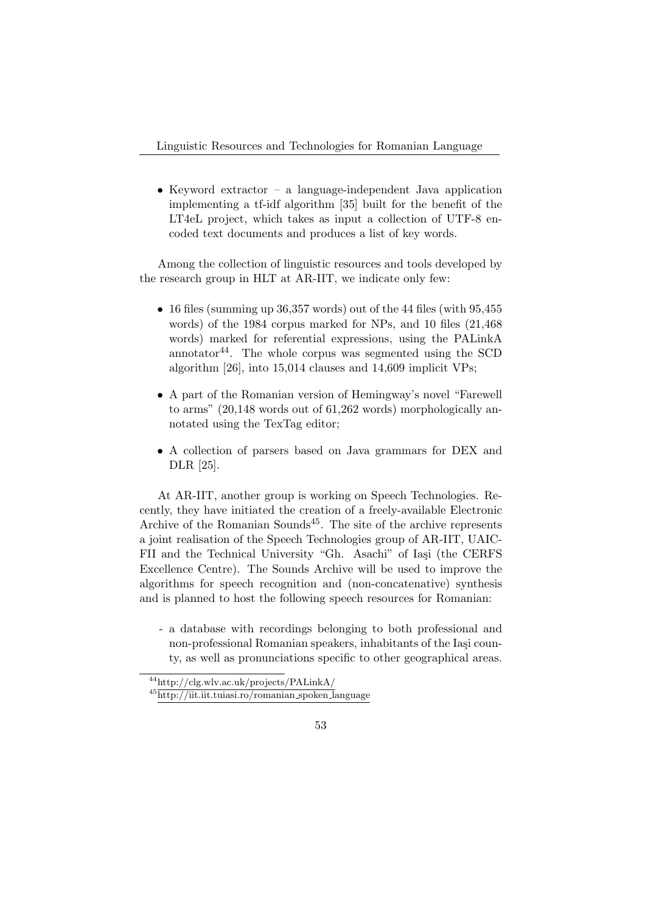• Keyword extractor – a language-independent Java application implementing a tf-idf algorithm [35] built for the benefit of the LT4eL project, which takes as input a collection of UTF-8 encoded text documents and produces a list of key words.

Among the collection of linguistic resources and tools developed by the research group in HLT at AR-IIT, we indicate only few:

- 16 files (summing up  $36,357$  words) out of the 44 files (with  $95,455$ words) of the 1984 corpus marked for NPs, and 10 files (21,468 words) marked for referential expressions, using the PALinkA annotator<sup>44</sup>. The whole corpus was segmented using the SCD algorithm [26], into 15,014 clauses and 14,609 implicit VPs;
- A part of the Romanian version of Hemingway's novel "Farewell to arms" (20,148 words out of 61,262 words) morphologically annotated using the TexTag editor;
- A collection of parsers based on Java grammars for DEX and DLR [25].

At AR-IIT, another group is working on Speech Technologies. Recently, they have initiated the creation of a freely-available Electronic Archive of the Romanian Sounds<sup>45</sup>. The site of the archive represents a joint realisation of the Speech Technologies group of AR-IIT, UAIC-FII and the Technical University "Gh. Asachi" of Iași (the CERFS Excellence Centre). The Sounds Archive will be used to improve the algorithms for speech recognition and (non-concatenative) synthesis and is planned to host the following speech resources for Romanian:

- a database with recordings belonging to both professional and non-professional Romanian speakers, inhabitants of the Iași county, as well as pronunciations specific to other geographical areas.

<sup>44</sup>http://clg.wlv.ac.uk/projects/PALinkA/

<sup>45</sup>http://iit.iit.tuiasi.ro/romanian spoken language

<sup>53</sup>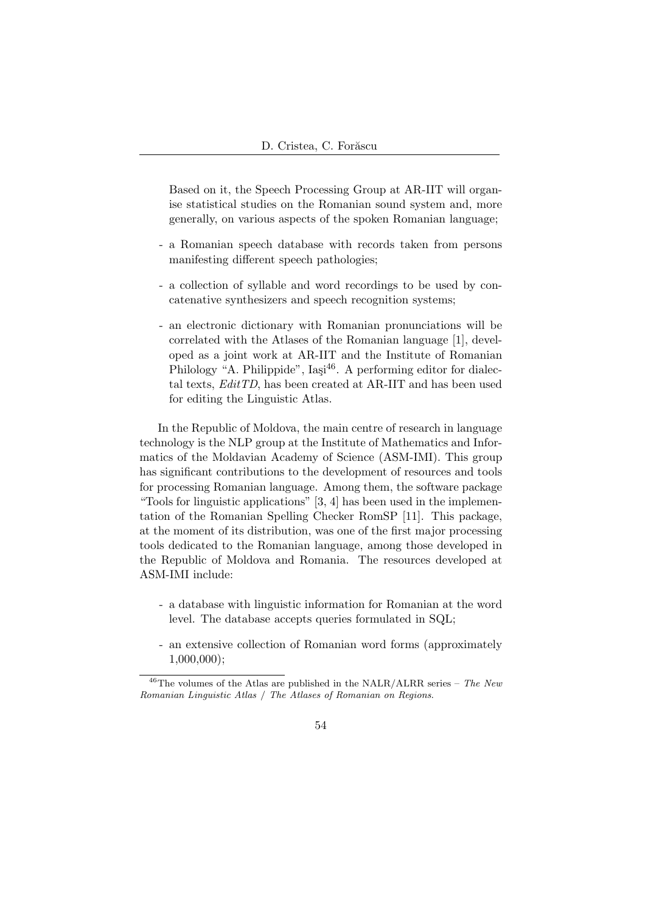Based on it, the Speech Processing Group at AR-IIT will organise statistical studies on the Romanian sound system and, more generally, on various aspects of the spoken Romanian language;

- a Romanian speech database with records taken from persons manifesting different speech pathologies;
- a collection of syllable and word recordings to be used by concatenative synthesizers and speech recognition systems;
- an electronic dictionary with Romanian pronunciations will be correlated with the Atlases of the Romanian language [1], developed as a joint work at AR-IIT and the Institute of Romanian Philology "A. Philippide",  $I_{\text{adj}}^{46}$ . A performing editor for dialectal texts,  $Edit TD$ , has been created at AR-IIT and has been used for editing the Linguistic Atlas.

In the Republic of Moldova, the main centre of research in language technology is the NLP group at the Institute of Mathematics and Informatics of the Moldavian Academy of Science (ASM-IMI). This group has significant contributions to the development of resources and tools for processing Romanian language. Among them, the software package "Tools for linguistic applications" [3, 4] has been used in the implementation of the Romanian Spelling Checker RomSP [11]. This package, at the moment of its distribution, was one of the first major processing tools dedicated to the Romanian language, among those developed in the Republic of Moldova and Romania. The resources developed at ASM-IMI include:

- a database with linguistic information for Romanian at the word level. The database accepts queries formulated in SQL;
- an extensive collection of Romanian word forms (approximately 1,000,000);

<sup>&</sup>lt;sup>46</sup>The volumes of the Atlas are published in the NALR/ALRR series – The New Romanian Linguistic Atlas / The Atlases of Romanian on Regions.

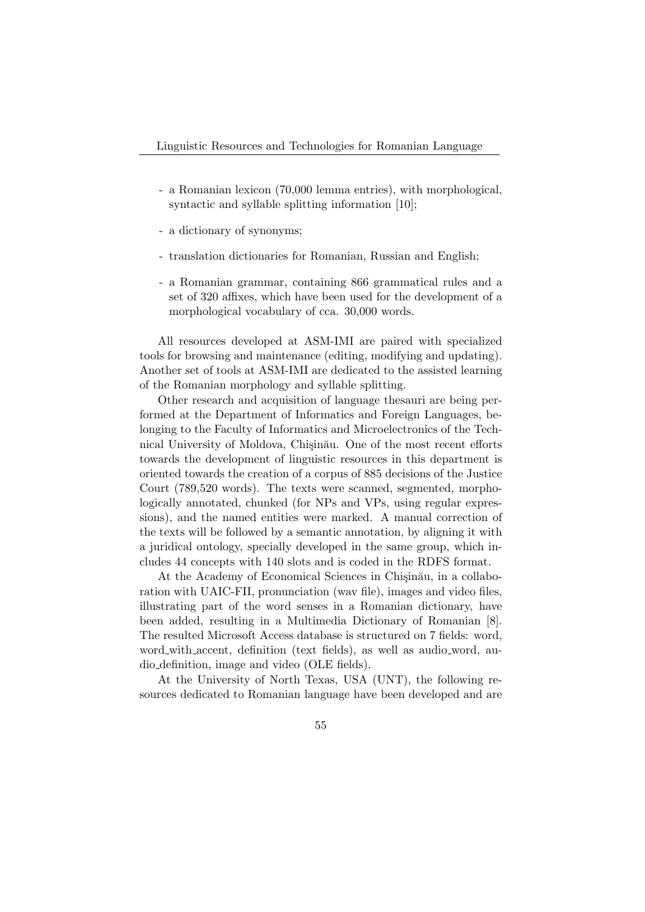- a Romanian lexicon (70,000 lemma entries), with morphological, syntactic and syllable splitting information [10];
- a dictionary of synonyms;
- translation dictionaries for Romanian, Russian and English;
- a Romanian grammar, containing 866 grammatical rules and a set of 320 affixes, which have been used for the development of a morphological vocabulary of cca. 30,000 words.

All resources developed at ASM-IMI are paired with specialized tools for browsing and maintenance (editing, modifying and updating). Another set of tools at ASM-IMI are dedicated to the assisted learning of the Romanian morphology and syllable splitting.

Other research and acquisition of language thesauri are being performed at the Department of Informatics and Foreign Languages, belonging to the Faculty of Informatics and Microelectronics of the Technical University of Moldova, Chișinău. One of the most recent efforts towards the development of linguistic resources in this department is oriented towards the creation of a corpus of 885 decisions of the Justice Court (789,520 words). The texts were scanned, segmented, morphologically annotated, chunked (for NPs and VPs, using regular expressions), and the named entities were marked. A manual correction of the texts will be followed by a semantic annotation, by aligning it with a juridical ontology, specially developed in the same group, which includes 44 concepts with 140 slots and is coded in the RDFS format.

At the Academy of Economical Sciences in Chisinău, in a collaboration with UAIC-FII, pronunciation (wav file), images and video files, illustrating part of the word senses in a Romanian dictionary, have been added, resulting in a Multimedia Dictionary of Romanian [8]. The resulted Microsoft Access database is structured on 7 fields: word, word with accent, definition (text fields), as well as audio word, audio definition, image and video (OLE fields).

At the University of North Texas, USA (UNT), the following resources dedicated to Romanian language have been developed and are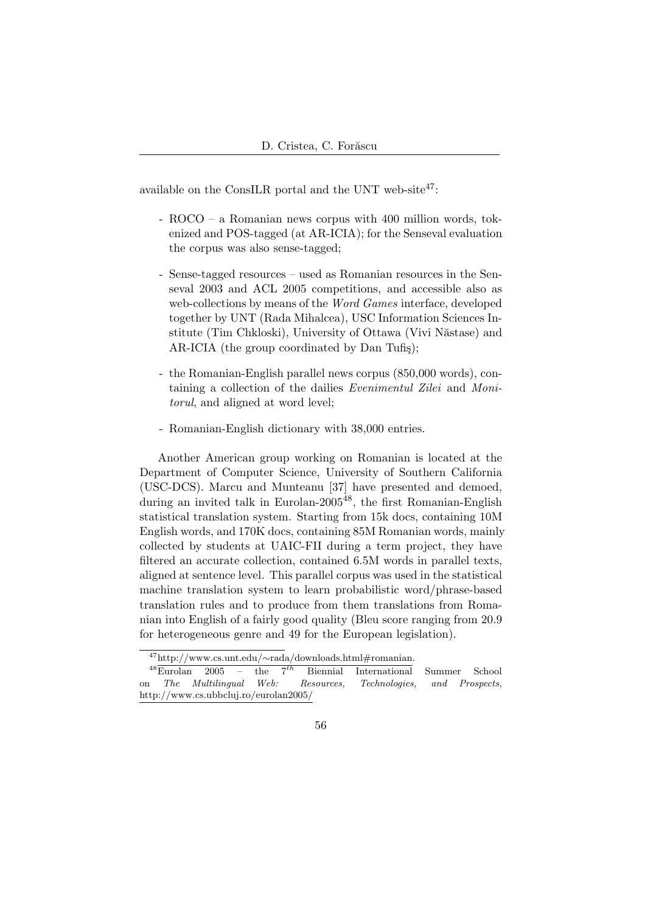available on the ConsILR portal and the UNT web-site $47$ :

- ROCO a Romanian news corpus with 400 million words, tokenized and POS-tagged (at AR-ICIA); for the Senseval evaluation the corpus was also sense-tagged;
- Sense-tagged resources used as Romanian resources in the Senseval 2003 and ACL 2005 competitions, and accessible also as web-collections by means of the *Word Games* interface, developed together by UNT (Rada Mihalcea), USC Information Sciences Institute (Tim Chkloski), University of Ottawa (Vivi Năstase) and AR-ICIA (the group coordinated by Dan Tufiş);
- the Romanian-English parallel news corpus (850,000 words), containing a collection of the dailies Evenimentul Zilei and Monitorul, and aligned at word level;
- Romanian-English dictionary with 38,000 entries.

Another American group working on Romanian is located at the Department of Computer Science, University of Southern California (USC-DCS). Marcu and Munteanu [37] have presented and demoed, during an invited talk in Eurolan-2005<sup>48</sup>, the first Romanian-English statistical translation system. Starting from 15k docs, containing 10M English words, and 170K docs, containing 85M Romanian words, mainly collected by students at UAIC-FII during a term project, they have filtered an accurate collection, contained 6.5M words in parallel texts, aligned at sentence level. This parallel corpus was used in the statistical machine translation system to learn probabilistic word/phrase-based translation rules and to produce from them translations from Romanian into English of a fairly good quality (Bleu score ranging from 20.9 for heterogeneous genre and 49 for the European legislation).

<sup>47</sup>http://www.cs.unt.edu/∼rada/downloads.html#romanian.

 $48\overline{\text{Eurolan}}$  2005 – the  $7^{th}$  Biennial International Summer School on The Multilingual Web: Resources, Technologies, and Prospects, http://www.cs.ubbcluj.ro/eurolan2005/

<sup>56</sup>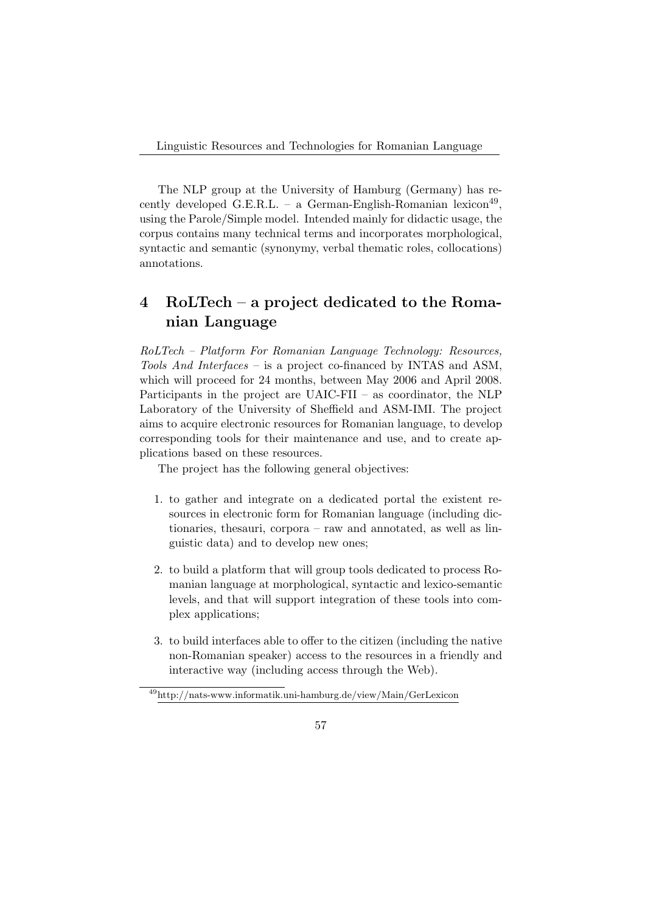Linguistic Resources and Technologies for Romanian Language

The NLP group at the University of Hamburg (Germany) has recently developed G.E.R.L. – a German-English-Romanian lexicon<sup>49</sup>, using the Parole/Simple model. Intended mainly for didactic usage, the corpus contains many technical terms and incorporates morphological, syntactic and semantic (synonymy, verbal thematic roles, collocations) annotations.

## 4 RoLTech – a project dedicated to the Romanian Language

RoLTech – Platform For Romanian Language Technology: Resources, Tools And Interfaces – is a project co-financed by INTAS and ASM, which will proceed for 24 months, between May 2006 and April 2008. Participants in the project are UAIC-FII – as coordinator, the NLP Laboratory of the University of Sheffield and ASM-IMI. The project aims to acquire electronic resources for Romanian language, to develop corresponding tools for their maintenance and use, and to create applications based on these resources.

The project has the following general objectives:

- 1. to gather and integrate on a dedicated portal the existent resources in electronic form for Romanian language (including dictionaries, thesauri, corpora – raw and annotated, as well as linguistic data) and to develop new ones;
- 2. to build a platform that will group tools dedicated to process Romanian language at morphological, syntactic and lexico-semantic levels, and that will support integration of these tools into complex applications;
- 3. to build interfaces able to offer to the citizen (including the native non-Romanian speaker) access to the resources in a friendly and interactive way (including access through the Web).

<sup>49</sup>http://nats-www.informatik.uni-hamburg.de/view/Main/GerLexicon

<sup>57</sup>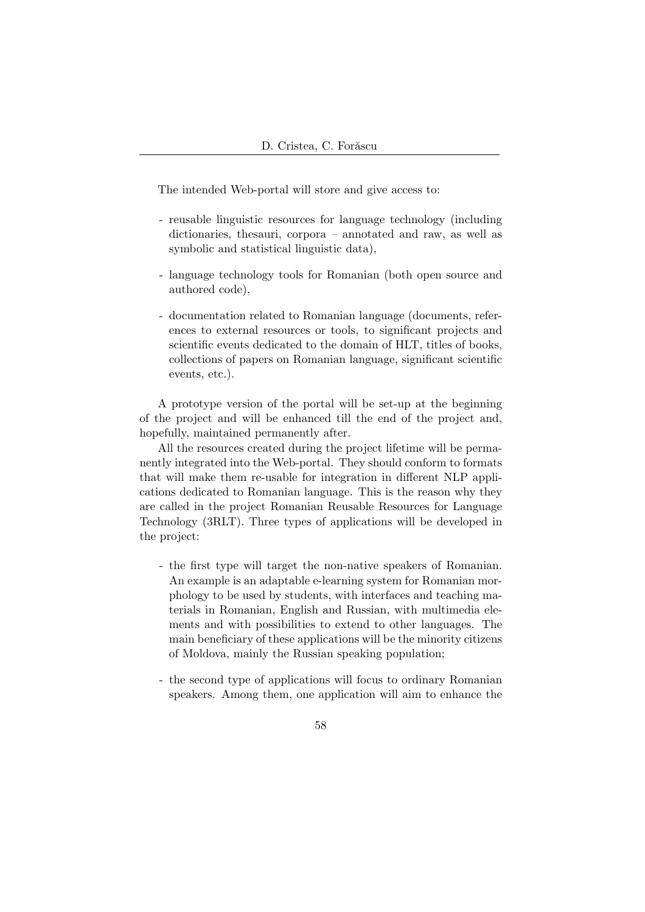The intended Web-portal will store and give access to:

- reusable linguistic resources for language technology (including dictionaries, thesauri, corpora – annotated and raw, as well as symbolic and statistical linguistic data),
- language technology tools for Romanian (both open source and authored code),
- documentation related to Romanian language (documents, references to external resources or tools, to significant projects and scientific events dedicated to the domain of HLT, titles of books, collections of papers on Romanian language, significant scientific events, etc.).

A prototype version of the portal will be set-up at the beginning of the project and will be enhanced till the end of the project and, hopefully, maintained permanently after.

All the resources created during the project lifetime will be permanently integrated into the Web-portal. They should conform to formats that will make them re-usable for integration in different NLP applications dedicated to Romanian language. This is the reason why they are called in the project Romanian Reusable Resources for Language Technology (3RLT). Three types of applications will be developed in the project:

- the first type will target the non-native speakers of Romanian. An example is an adaptable e-learning system for Romanian morphology to be used by students, with interfaces and teaching materials in Romanian, English and Russian, with multimedia elements and with possibilities to extend to other languages. The main beneficiary of these applications will be the minority citizens of Moldova, mainly the Russian speaking population;
- the second type of applications will focus to ordinary Romanian speakers. Among them, one application will aim to enhance the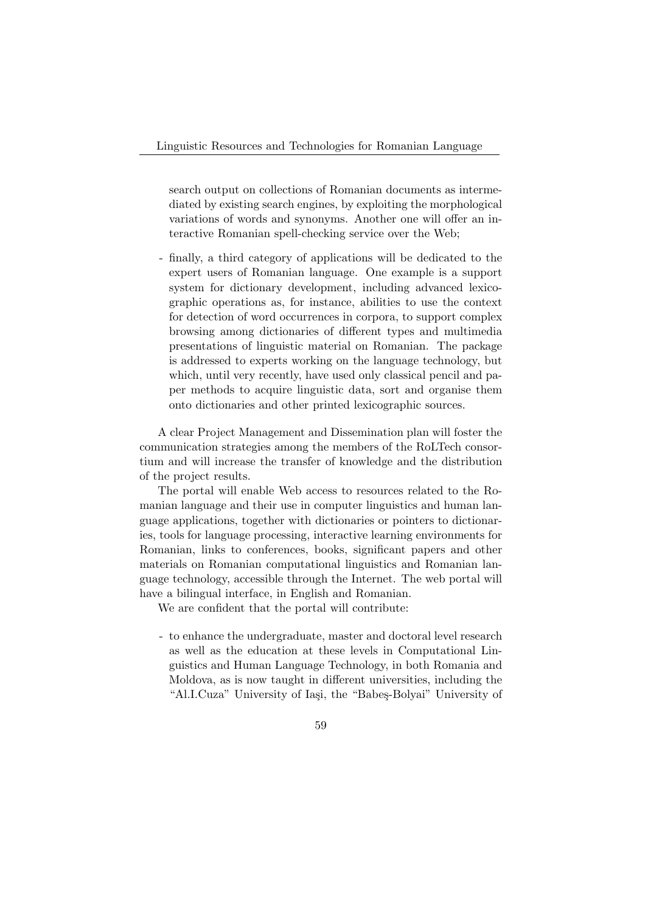search output on collections of Romanian documents as intermediated by existing search engines, by exploiting the morphological variations of words and synonyms. Another one will offer an interactive Romanian spell-checking service over the Web;

- finally, a third category of applications will be dedicated to the expert users of Romanian language. One example is a support system for dictionary development, including advanced lexicographic operations as, for instance, abilities to use the context for detection of word occurrences in corpora, to support complex browsing among dictionaries of different types and multimedia presentations of linguistic material on Romanian. The package is addressed to experts working on the language technology, but which, until very recently, have used only classical pencil and paper methods to acquire linguistic data, sort and organise them onto dictionaries and other printed lexicographic sources.

A clear Project Management and Dissemination plan will foster the communication strategies among the members of the RoLTech consortium and will increase the transfer of knowledge and the distribution of the project results.

The portal will enable Web access to resources related to the Romanian language and their use in computer linguistics and human language applications, together with dictionaries or pointers to dictionaries, tools for language processing, interactive learning environments for Romanian, links to conferences, books, significant papers and other materials on Romanian computational linguistics and Romanian language technology, accessible through the Internet. The web portal will have a bilingual interface, in English and Romanian.

We are confident that the portal will contribute:

- to enhance the undergraduate, master and doctoral level research as well as the education at these levels in Computational Linguistics and Human Language Technology, in both Romania and Moldova, as is now taught in different universities, including the "Al.I.Cuza" University of Iasi, the "Babes-Bolyai" University of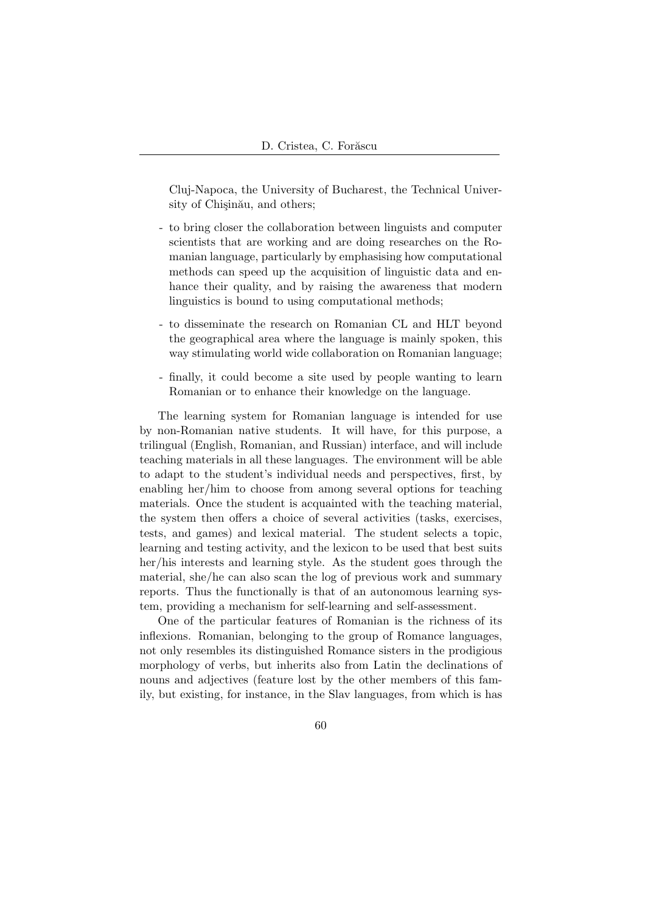Cluj-Napoca, the University of Bucharest, the Technical University of Chisinău, and others;

- to bring closer the collaboration between linguists and computer scientists that are working and are doing researches on the Romanian language, particularly by emphasising how computational methods can speed up the acquisition of linguistic data and enhance their quality, and by raising the awareness that modern linguistics is bound to using computational methods;
- to disseminate the research on Romanian CL and HLT beyond the geographical area where the language is mainly spoken, this way stimulating world wide collaboration on Romanian language;
- finally, it could become a site used by people wanting to learn Romanian or to enhance their knowledge on the language.

The learning system for Romanian language is intended for use by non-Romanian native students. It will have, for this purpose, a trilingual (English, Romanian, and Russian) interface, and will include teaching materials in all these languages. The environment will be able to adapt to the student's individual needs and perspectives, first, by enabling her/him to choose from among several options for teaching materials. Once the student is acquainted with the teaching material, the system then offers a choice of several activities (tasks, exercises, tests, and games) and lexical material. The student selects a topic, learning and testing activity, and the lexicon to be used that best suits her/his interests and learning style. As the student goes through the material, she/he can also scan the log of previous work and summary reports. Thus the functionally is that of an autonomous learning system, providing a mechanism for self-learning and self-assessment.

One of the particular features of Romanian is the richness of its inflexions. Romanian, belonging to the group of Romance languages, not only resembles its distinguished Romance sisters in the prodigious morphology of verbs, but inherits also from Latin the declinations of nouns and adjectives (feature lost by the other members of this family, but existing, for instance, in the Slav languages, from which is has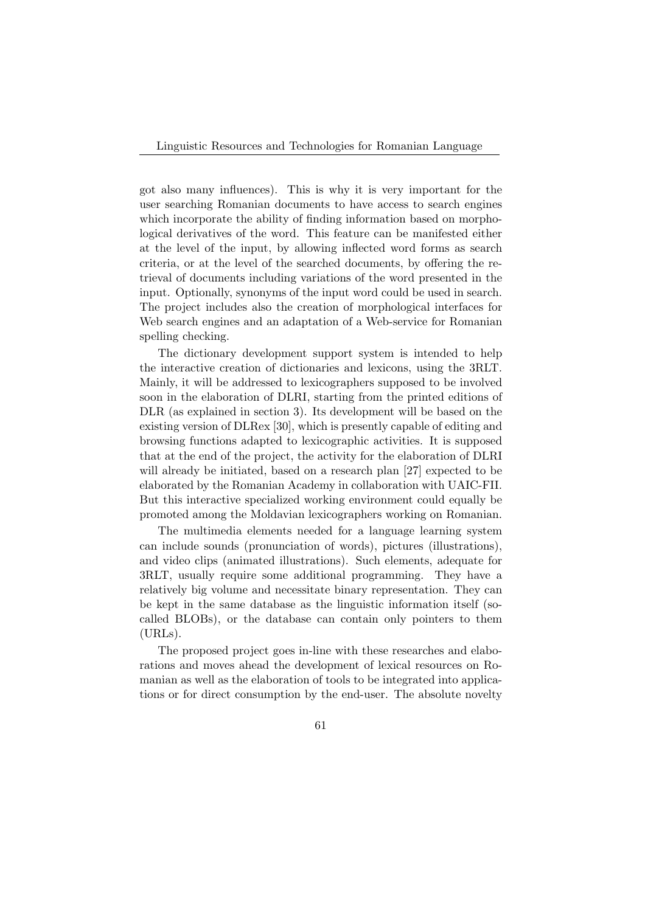Linguistic Resources and Technologies for Romanian Language

got also many influences). This is why it is very important for the user searching Romanian documents to have access to search engines which incorporate the ability of finding information based on morphological derivatives of the word. This feature can be manifested either at the level of the input, by allowing inflected word forms as search criteria, or at the level of the searched documents, by offering the retrieval of documents including variations of the word presented in the input. Optionally, synonyms of the input word could be used in search. The project includes also the creation of morphological interfaces for Web search engines and an adaptation of a Web-service for Romanian spelling checking.

The dictionary development support system is intended to help the interactive creation of dictionaries and lexicons, using the 3RLT. Mainly, it will be addressed to lexicographers supposed to be involved soon in the elaboration of DLRI, starting from the printed editions of DLR (as explained in section 3). Its development will be based on the existing version of DLRex [30], which is presently capable of editing and browsing functions adapted to lexicographic activities. It is supposed that at the end of the project, the activity for the elaboration of DLRI will already be initiated, based on a research plan [27] expected to be elaborated by the Romanian Academy in collaboration with UAIC-FII. But this interactive specialized working environment could equally be promoted among the Moldavian lexicographers working on Romanian.

The multimedia elements needed for a language learning system can include sounds (pronunciation of words), pictures (illustrations), and video clips (animated illustrations). Such elements, adequate for 3RLT, usually require some additional programming. They have a relatively big volume and necessitate binary representation. They can be kept in the same database as the linguistic information itself (socalled BLOBs), or the database can contain only pointers to them (URLs).

The proposed project goes in-line with these researches and elaborations and moves ahead the development of lexical resources on Romanian as well as the elaboration of tools to be integrated into applications or for direct consumption by the end-user. The absolute novelty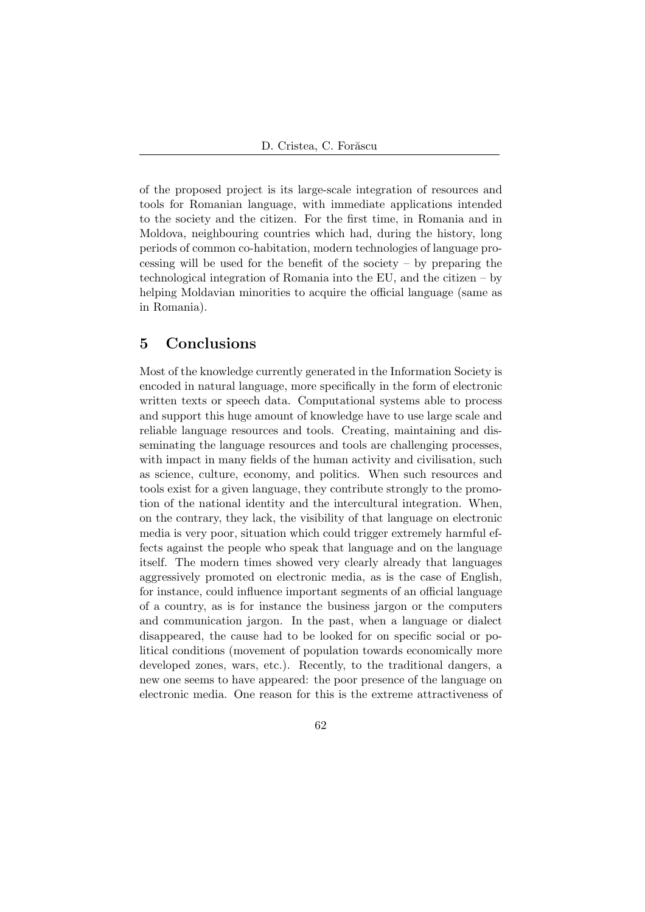of the proposed project is its large-scale integration of resources and tools for Romanian language, with immediate applications intended to the society and the citizen. For the first time, in Romania and in Moldova, neighbouring countries which had, during the history, long periods of common co-habitation, modern technologies of language processing will be used for the benefit of the society – by preparing the technological integration of Romania into the EU, and the citizen – by helping Moldavian minorities to acquire the official language (same as in Romania).

### 5 Conclusions

Most of the knowledge currently generated in the Information Society is encoded in natural language, more specifically in the form of electronic written texts or speech data. Computational systems able to process and support this huge amount of knowledge have to use large scale and reliable language resources and tools. Creating, maintaining and disseminating the language resources and tools are challenging processes, with impact in many fields of the human activity and civilisation, such as science, culture, economy, and politics. When such resources and tools exist for a given language, they contribute strongly to the promotion of the national identity and the intercultural integration. When, on the contrary, they lack, the visibility of that language on electronic media is very poor, situation which could trigger extremely harmful effects against the people who speak that language and on the language itself. The modern times showed very clearly already that languages aggressively promoted on electronic media, as is the case of English, for instance, could influence important segments of an official language of a country, as is for instance the business jargon or the computers and communication jargon. In the past, when a language or dialect disappeared, the cause had to be looked for on specific social or political conditions (movement of population towards economically more developed zones, wars, etc.). Recently, to the traditional dangers, a new one seems to have appeared: the poor presence of the language on electronic media. One reason for this is the extreme attractiveness of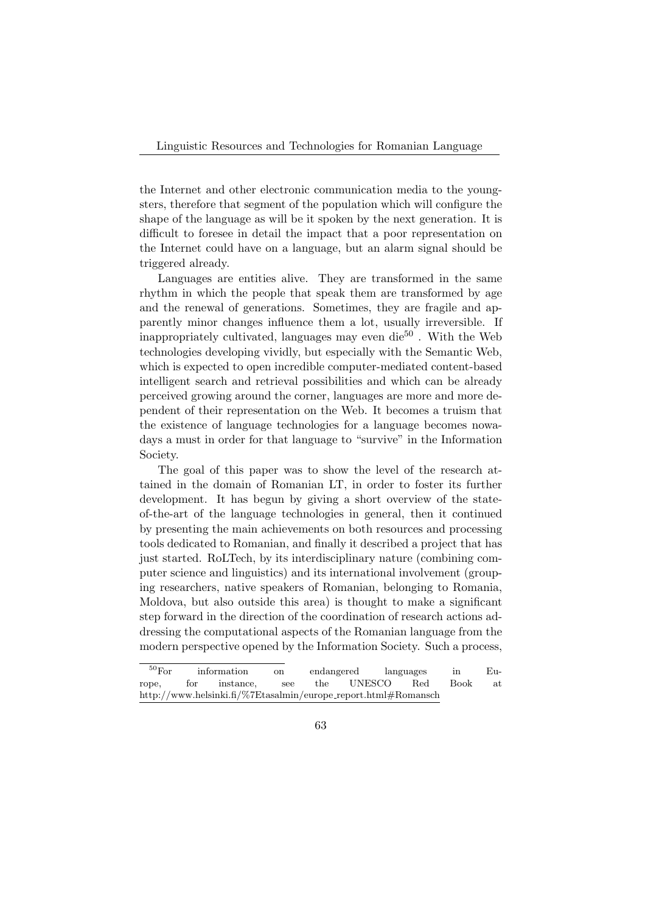Linguistic Resources and Technologies for Romanian Language

the Internet and other electronic communication media to the youngsters, therefore that segment of the population which will configure the shape of the language as will be it spoken by the next generation. It is difficult to foresee in detail the impact that a poor representation on the Internet could have on a language, but an alarm signal should be triggered already.

Languages are entities alive. They are transformed in the same rhythm in which the people that speak them are transformed by age and the renewal of generations. Sometimes, they are fragile and apparently minor changes influence them a lot, usually irreversible. If inappropriately cultivated, languages may even die<sup>50</sup>. With the Web technologies developing vividly, but especially with the Semantic Web, which is expected to open incredible computer-mediated content-based intelligent search and retrieval possibilities and which can be already perceived growing around the corner, languages are more and more dependent of their representation on the Web. It becomes a truism that the existence of language technologies for a language becomes nowadays a must in order for that language to "survive" in the Information Society.

The goal of this paper was to show the level of the research attained in the domain of Romanian LT, in order to foster its further development. It has begun by giving a short overview of the stateof-the-art of the language technologies in general, then it continued by presenting the main achievements on both resources and processing tools dedicated to Romanian, and finally it described a project that has just started. RoLTech, by its interdisciplinary nature (combining computer science and linguistics) and its international involvement (grouping researchers, native speakers of Romanian, belonging to Romania, Moldova, but also outside this area) is thought to make a significant step forward in the direction of the coordination of research actions addressing the computational aspects of the Romanian language from the modern perspective opened by the Information Society. Such a process,

 $\frac{50}{60}$  For information on endangered languages in Europe, for instance, see the UNESCO Red Book at http://www.helsinki.fi/%7Etasalmin/europe\_report.html#Romansch

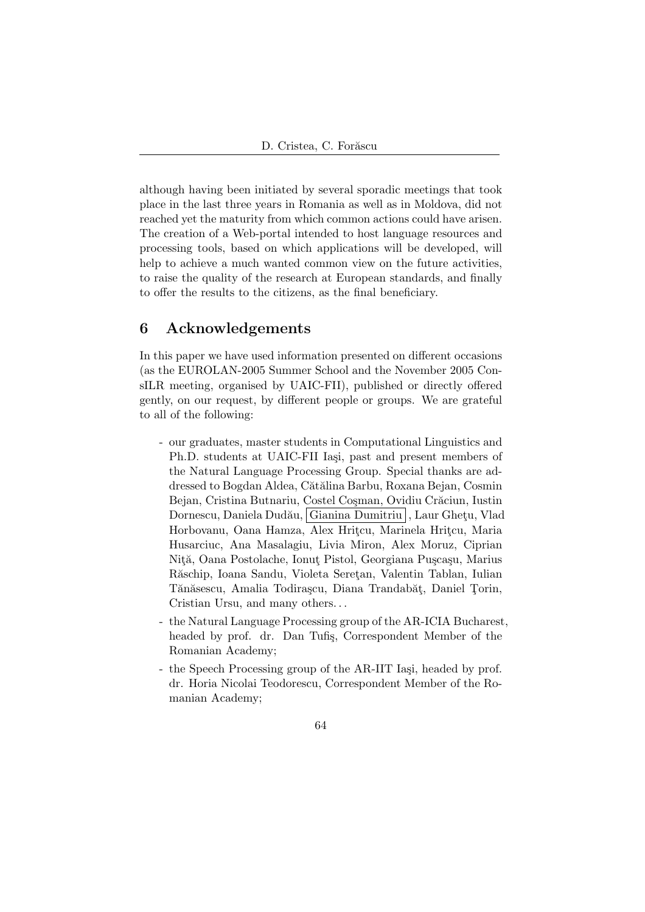although having been initiated by several sporadic meetings that took place in the last three years in Romania as well as in Moldova, did not reached yet the maturity from which common actions could have arisen. The creation of a Web-portal intended to host language resources and processing tools, based on which applications will be developed, will help to achieve a much wanted common view on the future activities, to raise the quality of the research at European standards, and finally to offer the results to the citizens, as the final beneficiary.

### 6 Acknowledgements

In this paper we have used information presented on different occasions (as the EUROLAN-2005 Summer School and the November 2005 ConsILR meeting, organised by UAIC-FII), published or directly offered gently, on our request, by different people or groups. We are grateful to all of the following:

- our graduates, master students in Computational Linguistics and Ph.D. students at UAIC-FII Iași, past and present members of the Natural Language Processing Group. Special thanks are addressed to Bogdan Aldea, Cătălina Barbu, Roxana Bejan, Cosmin Bejan, Cristina Butnariu, Costel Coșman, Ovidiu Crăciun, Iustin Dornescu, Daniela Dudău, Gianina Dumitriu , Laur Ghetu, Vlad Horbovanu, Oana Hamza, Alex Hritçu, Marinela Hritçu, Maria Husarciuc, Ana Masalagiu, Livia Miron, Alex Moruz, Ciprian Niță, Oana Postolache, Ionuț Pistol, Georgiana Pușcașu, Marius Răschip, Ioana Sandu, Violeta Seretan, Valentin Tablan, Iulian Tănăsescu, Amalia Todirașcu, Diana Trandabăt, Daniel Torin, Cristian Ursu, and many others. . .
- the Natural Language Processing group of the AR-ICIA Bucharest, headed by prof. dr. Dan Tufiş, Correspondent Member of the Romanian Academy;
- the Speech Processing group of the AR-IIT Iași, headed by prof. dr. Horia Nicolai Teodorescu, Correspondent Member of the Romanian Academy;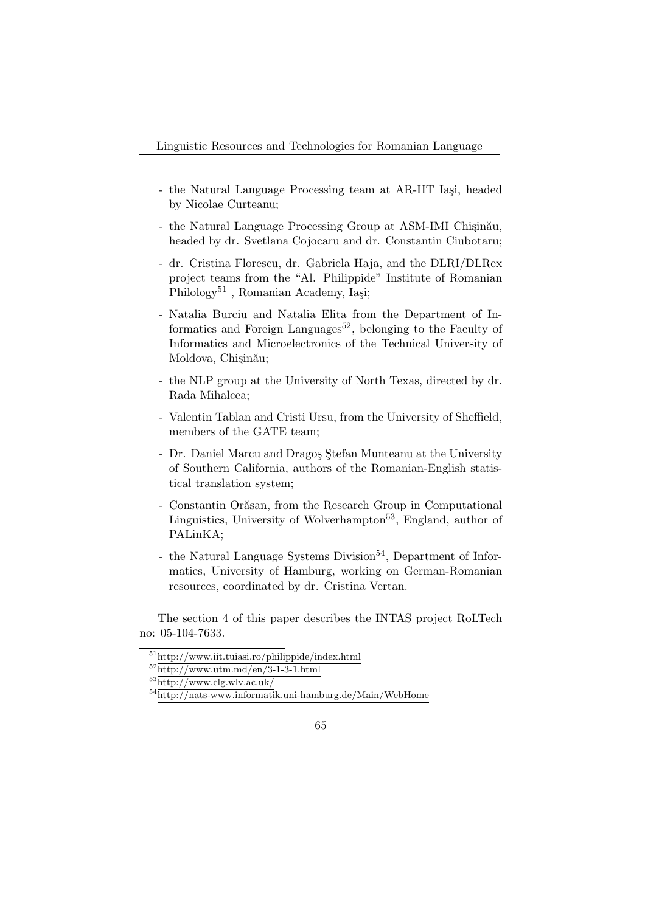- the Natural Language Processing team at AR-IIT Iași, headed by Nicolae Curteanu;
- the Natural Language Processing Group at ASM-IMI Chişinău, headed by dr. Svetlana Cojocaru and dr. Constantin Ciubotaru;
- dr. Cristina Florescu, dr. Gabriela Haja, and the DLRI/DLRex project teams from the "Al. Philippide" Institute of Romanian  $Philology<sup>51</sup>$ , Romanian Academy, Iaşi;
- Natalia Burciu and Natalia Elita from the Department of Informatics and Foreign Languages<sup>52</sup>, belonging to the Faculty of Informatics and Microelectronics of the Technical University of Moldova, Chişinău;
- the NLP group at the University of North Texas, directed by dr. Rada Mihalcea;
- Valentin Tablan and Cristi Ursu, from the University of Sheffield, members of the GATE team;
- Dr. Daniel Marcu and Dragos Stefan Munteanu at the University of Southern California, authors of the Romanian-English statistical translation system;
- Constantin Orăsan, from the Research Group in Computational Linguistics, University of Wolverhampton<sup>53</sup>, England, author of PALinKA;
- the Natural Language Systems Division<sup>54</sup>, Department of Informatics, University of Hamburg, working on German-Romanian resources, coordinated by dr. Cristina Vertan.

The section 4 of this paper describes the INTAS project RoLTech no: 05-104-7633.

<sup>51</sup>http://www.iit.tuiasi.ro/philippide/index.html

 $52$ http://www.utm.md/en/3-1-3-1.html

 $53$ http://www.clg.wlv.ac.uk/

<sup>54</sup>http://nats-www.informatik.uni-hamburg.de/Main/WebHome

<sup>65</sup>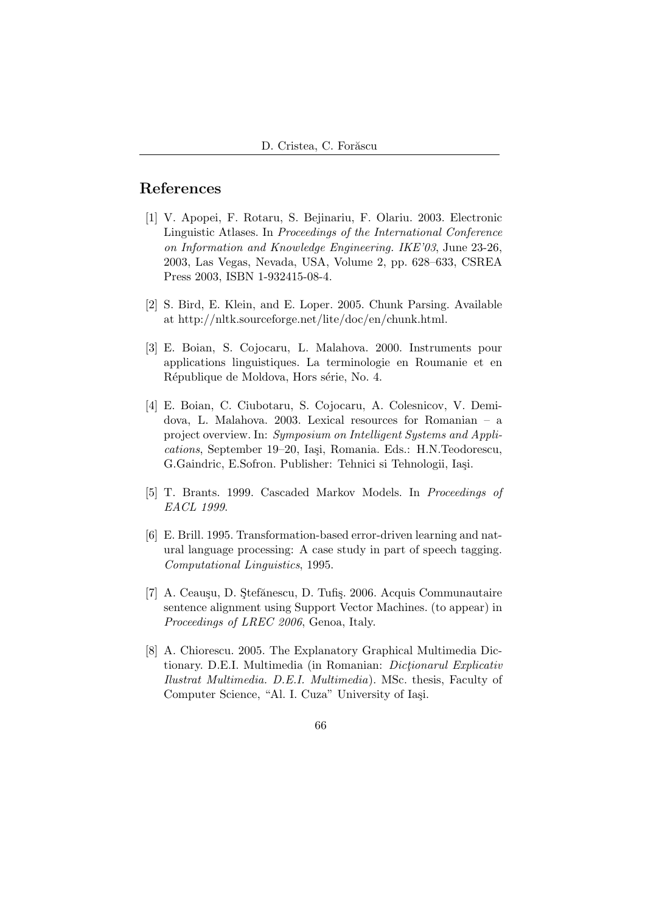### References

- [1] V. Apopei, F. Rotaru, S. Bejinariu, F. Olariu. 2003. Electronic Linguistic Atlases. In Proceedings of the International Conference on Information and Knowledge Engineering. IKE'03, June 23-26, 2003, Las Vegas, Nevada, USA, Volume 2, pp. 628–633, CSREA Press 2003, ISBN 1-932415-08-4.
- [2] S. Bird, E. Klein, and E. Loper. 2005. Chunk Parsing. Available at http://nltk.sourceforge.net/lite/doc/en/chunk.html.
- [3] E. Boian, S. Cojocaru, L. Malahova. 2000. Instruments pour applications linguistiques. La terminologie en Roumanie et en République de Moldova, Hors série, No. 4.
- [4] E. Boian, C. Ciubotaru, S. Cojocaru, A. Colesnicov, V. Demidova, L. Malahova. 2003. Lexical resources for Romanian – a project overview. In: Symposium on Intelligent Systems and Applications, September 19–20, Iași, Romania. Eds.: H.N.Teodorescu, G.Gaindric, E.Sofron. Publisher: Tehnici si Tehnologii, Iași.
- [5] T. Brants. 1999. Cascaded Markov Models. In Proceedings of EACL 1999.
- [6] E. Brill. 1995. Transformation-based error-driven learning and natural language processing: A case study in part of speech tagging. Computational Linguistics, 1995.
- [7] A. Ceauşu, D. Stefănescu, D. Tufiş. 2006. Acquis Communautaire sentence alignment using Support Vector Machines. (to appear) in Proceedings of LREC 2006, Genoa, Italy.
- [8] A. Chiorescu. 2005. The Explanatory Graphical Multimedia Dictionary. D.E.I. Multimedia (in Romanian: *Dictionarul Explicativ* Ilustrat Multimedia. D.E.I. Multimedia). MSc. thesis, Faculty of Computer Science, "Al. I. Cuza" University of Iași.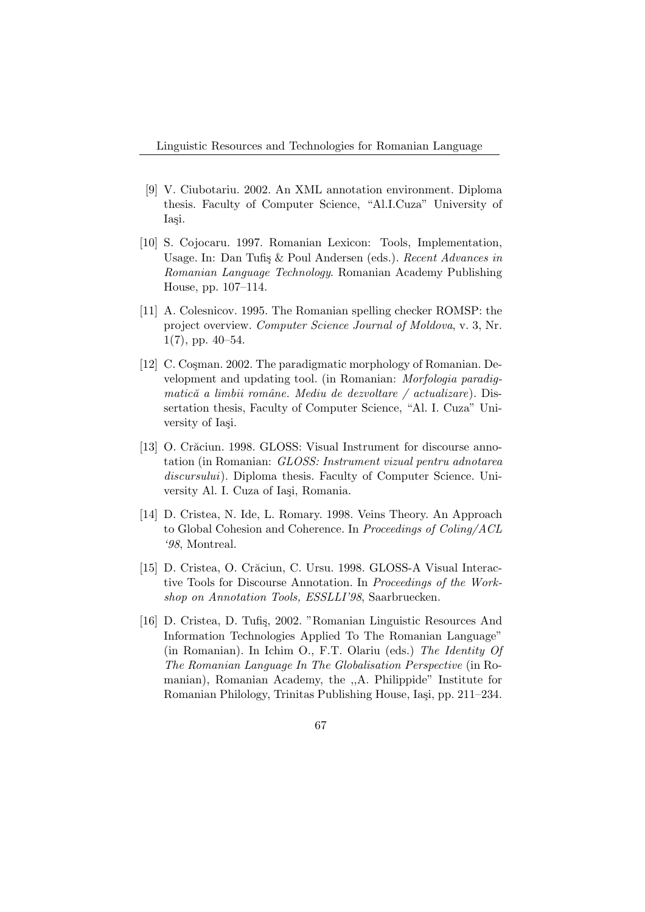- [9] V. Ciubotariu. 2002. An XML annotation environment. Diploma thesis. Faculty of Computer Science, "Al.I.Cuza" University of Iasi.
- [10] S. Cojocaru. 1997. Romanian Lexicon: Tools, Implementation, Usage. In: Dan Tufis & Poul Andersen (eds.). Recent Advances in Romanian Language Technology. Romanian Academy Publishing House, pp. 107–114.
- [11] A. Colesnicov. 1995. The Romanian spelling checker ROMSP: the project overview. Computer Science Journal of Moldova, v. 3, Nr.  $1(7)$ , pp.  $40-54$ .
- [12] C. Cosman. 2002. The paradigmatic morphology of Romanian. Development and updating tool. (in Romanian: Morfologia paradigmatică a limbii române. Mediu de dezvoltare / actualizare). Dissertation thesis, Faculty of Computer Science, "Al. I. Cuza" University of Iasi.
- [13] O. Crăciun. 1998. GLOSS: Visual Instrument for discourse annotation (in Romanian: GLOSS: Instrument vizual pentru adnotarea discursului). Diploma thesis. Faculty of Computer Science. University Al. I. Cuza of Iași, Romania.
- [14] D. Cristea, N. Ide, L. Romary. 1998. Veins Theory. An Approach to Global Cohesion and Coherence. In Proceedings of Coling/ACL '98, Montreal.
- [15] D. Cristea, O. Crăciun, C. Ursu. 1998. GLOSS-A Visual Interactive Tools for Discourse Annotation. In Proceedings of the Workshop on Annotation Tools, ESSLLI'98, Saarbruecken.
- [16] D. Cristea, D. Tufiș, 2002. "Romanian Linguistic Resources And Information Technologies Applied To The Romanian Language" (in Romanian). In Ichim O., F.T. Olariu (eds.) The Identity Of The Romanian Language In The Globalisation Perspective (in Romanian), Romanian Academy, the ,,A. Philippide" Institute for Romanian Philology, Trinitas Publishing House, Iași, pp. 211–234.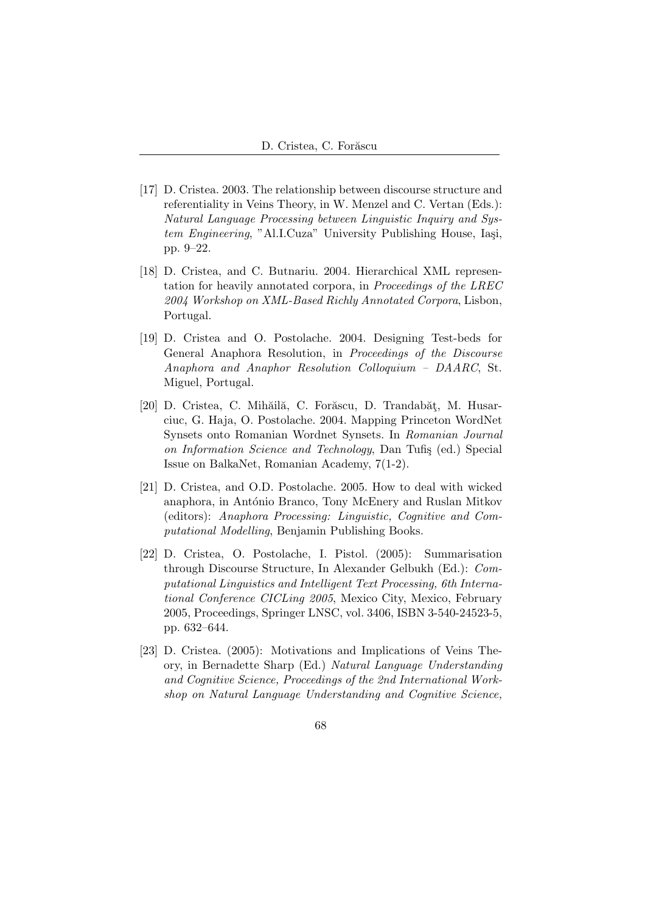- [17] D. Cristea. 2003. The relationship between discourse structure and referentiality in Veins Theory, in W. Menzel and C. Vertan (Eds.): Natural Language Processing between Linguistic Inquiry and System Engineering, "Al.I.Cuza" University Publishing House, Iași, pp. 9–22.
- [18] D. Cristea, and C. Butnariu. 2004. Hierarchical XML representation for heavily annotated corpora, in Proceedings of the LREC 2004 Workshop on XML-Based Richly Annotated Corpora, Lisbon, Portugal.
- [19] D. Cristea and O. Postolache. 2004. Designing Test-beds for General Anaphora Resolution, in Proceedings of the Discourse Anaphora and Anaphor Resolution Colloquium – DAARC, St. Miguel, Portugal.
- [20] D. Cristea, C. Mihăilă, C. Forăscu, D. Trandabăț, M. Husarciuc, G. Haja, O. Postolache. 2004. Mapping Princeton WordNet Synsets onto Romanian Wordnet Synsets. In Romanian Journal on Information Science and Technology, Dan Tufis (ed.) Special Issue on BalkaNet, Romanian Academy, 7(1-2).
- [21] D. Cristea, and O.D. Postolache. 2005. How to deal with wicked anaphora, in António Branco, Tony McEnery and Ruslan Mitkov (editors): Anaphora Processing: Linguistic, Cognitive and Computational Modelling, Benjamin Publishing Books.
- [22] D. Cristea, O. Postolache, I. Pistol. (2005): Summarisation through Discourse Structure, In Alexander Gelbukh (Ed.): Computational Linguistics and Intelligent Text Processing, 6th International Conference CICLing 2005, Mexico City, Mexico, February 2005, Proceedings, Springer LNSC, vol. 3406, ISBN 3-540-24523-5, pp. 632–644.
- [23] D. Cristea. (2005): Motivations and Implications of Veins Theory, in Bernadette Sharp (Ed.) Natural Language Understanding and Cognitive Science, Proceedings of the 2nd International Workshop on Natural Language Understanding and Cognitive Science,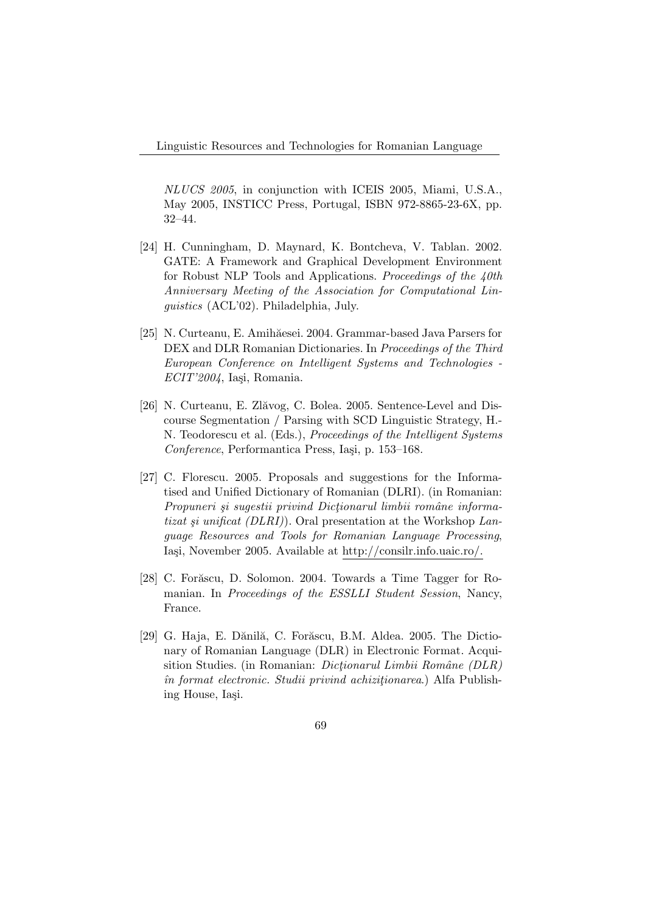NLUCS 2005, in conjunction with ICEIS 2005, Miami, U.S.A., May 2005, INSTICC Press, Portugal, ISBN 972-8865-23-6X, pp. 32–44.

- [24] H. Cunningham, D. Maynard, K. Bontcheva, V. Tablan. 2002. GATE: A Framework and Graphical Development Environment for Robust NLP Tools and Applications. Proceedings of the 40th Anniversary Meeting of the Association for Computational Linguistics (ACL'02). Philadelphia, July.
- [25] N. Curteanu, E. Amihăesei. 2004. Grammar-based Java Parsers for DEX and DLR Romanian Dictionaries. In Proceedings of the Third European Conference on Intelligent Systems and Technologies -  $ECIT'2004$ , Iași, Romania.
- [26] N. Curteanu, E. Zlăvog, C. Bolea. 2005. Sentence-Level and Discourse Segmentation / Parsing with SCD Linguistic Strategy, H.- N. Teodorescu et al. (Eds.), Proceedings of the Intelligent Systems Conference, Performantica Press, Iasi, p. 153–168.
- [27] C. Florescu. 2005. Proposals and suggestions for the Informatised and Unified Dictionary of Romanian (DLRI). (in Romanian: Propuneri și sugestii privind Dictionarul limbii române informatizat și unificat (DLRI). Oral presentation at the Workshop Language Resources and Tools for Romanian Language Processing, Iași, November 2005. Available at http://consilr.info.uaic.ro/.
- [28] C. Forăscu, D. Solomon. 2004. Towards a Time Tagger for Romanian. In Proceedings of the ESSLLI Student Session, Nancy, France.
- [29] G. Haja, E. Dănilă, C. Forăscu, B.M. Aldea. 2005. The Dictionary of Romanian Language (DLR) in Electronic Format. Acquisition Studies. (in Romanian: *Dictionarul Limbii Române (DLR)*  $\hat{i}$ n format electronic. Studii privind achiziționarea.) Alfa Publishing House, Iasi.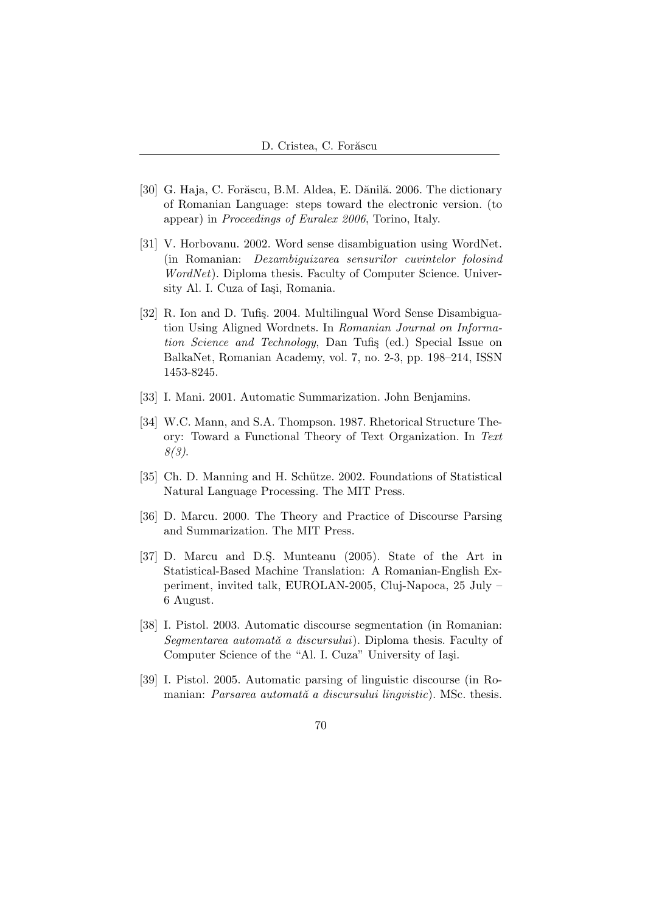- [30] G. Haja, C. Forăscu, B.M. Aldea, E. Dănilă. 2006. The dictionary of Romanian Language: steps toward the electronic version. (to appear) in Proceedings of Euralex 2006, Torino, Italy.
- [31] V. Horbovanu. 2002. Word sense disambiguation using WordNet. (in Romanian: Dezambiguizarea sensurilor cuvintelor folosind WordNet). Diploma thesis. Faculty of Computer Science. University Al. I. Cuza of Iași, Romania.
- [32] R. Ion and D. Tufiş. 2004. Multilingual Word Sense Disambiguation Using Aligned Wordnets. In Romanian Journal on Information Science and Technology, Dan Tufis (ed.) Special Issue on BalkaNet, Romanian Academy, vol. 7, no. 2-3, pp. 198–214, ISSN 1453-8245.
- [33] I. Mani. 2001. Automatic Summarization. John Benjamins.
- [34] W.C. Mann, and S.A. Thompson. 1987. Rhetorical Structure Theory: Toward a Functional Theory of Text Organization. In Text 8(3).
- [35] Ch. D. Manning and H. Schütze. 2002. Foundations of Statistical Natural Language Processing. The MIT Press.
- [36] D. Marcu. 2000. The Theory and Practice of Discourse Parsing and Summarization. The MIT Press.
- [37] D. Marcu and D.S¸. Munteanu (2005). State of the Art in Statistical-Based Machine Translation: A Romanian-English Experiment, invited talk, EUROLAN-2005, Cluj-Napoca, 25 July – 6 August.
- [38] I. Pistol. 2003. Automatic discourse segmentation (in Romanian: Segmentarea automată a discursului). Diploma thesis. Faculty of Computer Science of the "Al. I. Cuza" University of Iași.
- [39] I. Pistol. 2005. Automatic parsing of linguistic discourse (in Romanian: Parsarea automată a discursului lingvistic). MSc. thesis.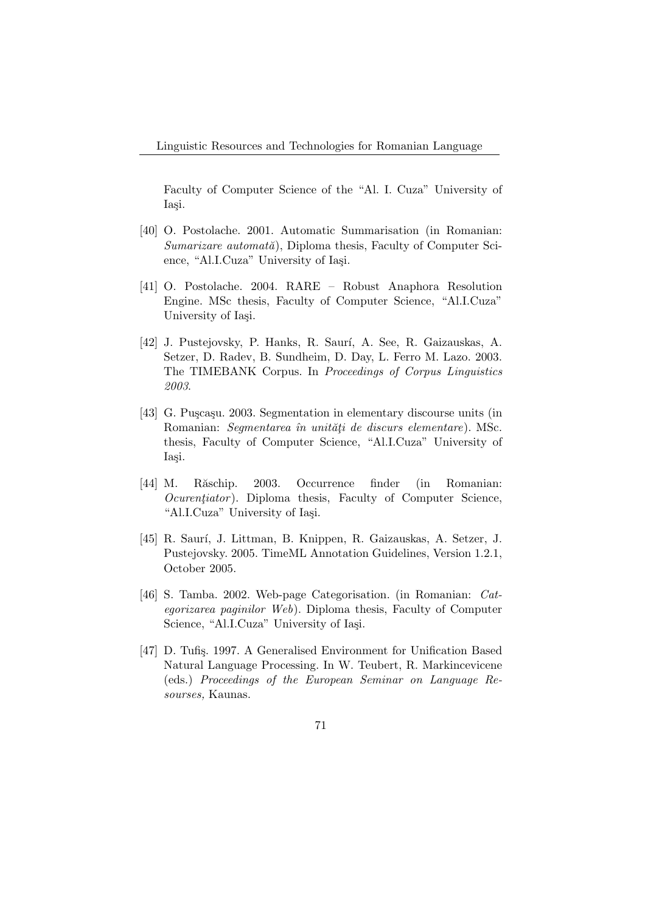Faculty of Computer Science of the "Al. I. Cuza" University of Iasi.

- [40] O. Postolache. 2001. Automatic Summarisation (in Romanian:  $Sumarizare automat\check{a}$ , Diploma thesis, Faculty of Computer Science, "Al.I.Cuza" University of Iași.
- [41] O. Postolache. 2004. RARE Robust Anaphora Resolution Engine. MSc thesis, Faculty of Computer Science, "Al.I.Cuza" University of Iasi.
- [42] J. Pustejovsky, P. Hanks, R. Saur´ı, A. See, R. Gaizauskas, A. Setzer, D. Radev, B. Sundheim, D. Day, L. Ferro M. Lazo. 2003. The TIMEBANK Corpus. In Proceedings of Corpus Linguistics 2003.
- [43] G. Puscasu. 2003. Segmentation in elementary discourse units (in Romanian: Segmentarea în unități de discurs elementare). MSc. thesis, Faculty of Computer Science, "Al.I.Cuza" University of Iasi.
- [44] M. Răschip. 2003. Occurrence finder (in Romanian:  $Ocurentiator$ ). Diploma thesis, Faculty of Computer Science, "Al.I.Cuza" University of Iaşi.
- [45] R. Saur´ı, J. Littman, B. Knippen, R. Gaizauskas, A. Setzer, J. Pustejovsky. 2005. TimeML Annotation Guidelines, Version 1.2.1, October 2005.
- [46] S. Tamba. 2002. Web-page Categorisation. (in Romanian: Categorizarea paginilor Web). Diploma thesis, Faculty of Computer Science, "Al.I.Cuza" University of Iași.
- [47] D. Tufis. 1997. A Generalised Environment for Unification Based Natural Language Processing. In W. Teubert, R. Markincevicene (eds.) Proceedings of the European Seminar on Language Resourses, Kaunas.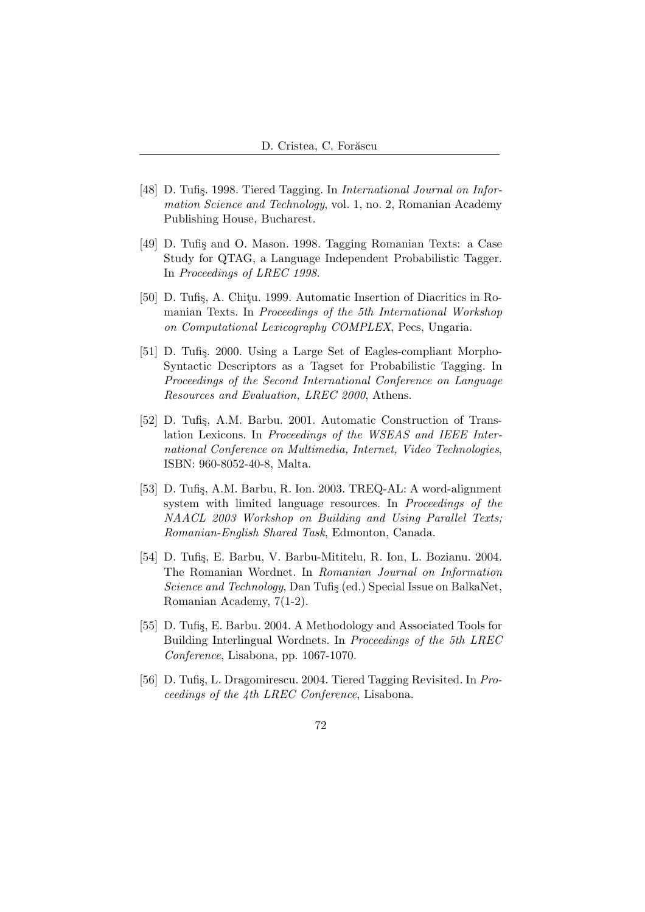- [48] D. Tufis. 1998. Tiered Tagging. In *International Journal on Infor*mation Science and Technology, vol. 1, no. 2, Romanian Academy Publishing House, Bucharest.
- [49] D. Tufis and O. Mason. 1998. Tagging Romanian Texts: a Case Study for QTAG, a Language Independent Probabilistic Tagger. In Proceedings of LREC 1998.
- [50] D. Tufis, A. Chitu. 1999. Automatic Insertion of Diacritics in Romanian Texts. In Proceedings of the 5th International Workshop on Computational Lexicography COMPLEX, Pecs, Ungaria.
- [51] D. Tufis. 2000. Using a Large Set of Eagles-compliant Morpho-Syntactic Descriptors as a Tagset for Probabilistic Tagging. In Proceedings of the Second International Conference on Language Resources and Evaluation, LREC 2000, Athens.
- [52] D. Tufiş, A.M. Barbu. 2001. Automatic Construction of Translation Lexicons. In Proceedings of the WSEAS and IEEE International Conference on Multimedia, Internet, Video Technologies, ISBN: 960-8052-40-8, Malta.
- [53] D. Tufiş, A.M. Barbu, R. Ion. 2003. TREQ-AL: A word-alignment system with limited language resources. In Proceedings of the NAACL 2003 Workshop on Building and Using Parallel Texts; Romanian-English Shared Task, Edmonton, Canada.
- [54] D. Tufiş, E. Barbu, V. Barbu-Mititelu, R. Ion, L. Bozianu. 2004. The Romanian Wordnet. In Romanian Journal on Information Science and Technology, Dan Tufis (ed.) Special Issue on BalkaNet, Romanian Academy, 7(1-2).
- [55] D. Tufis, E. Barbu. 2004. A Methodology and Associated Tools for Building Interlingual Wordnets. In Proceedings of the 5th LREC Conference, Lisabona, pp. 1067-1070.
- [56] D. Tufiş, L. Dragomirescu. 2004. Tiered Tagging Revisited. In Proceedings of the 4th LREC Conference, Lisabona.